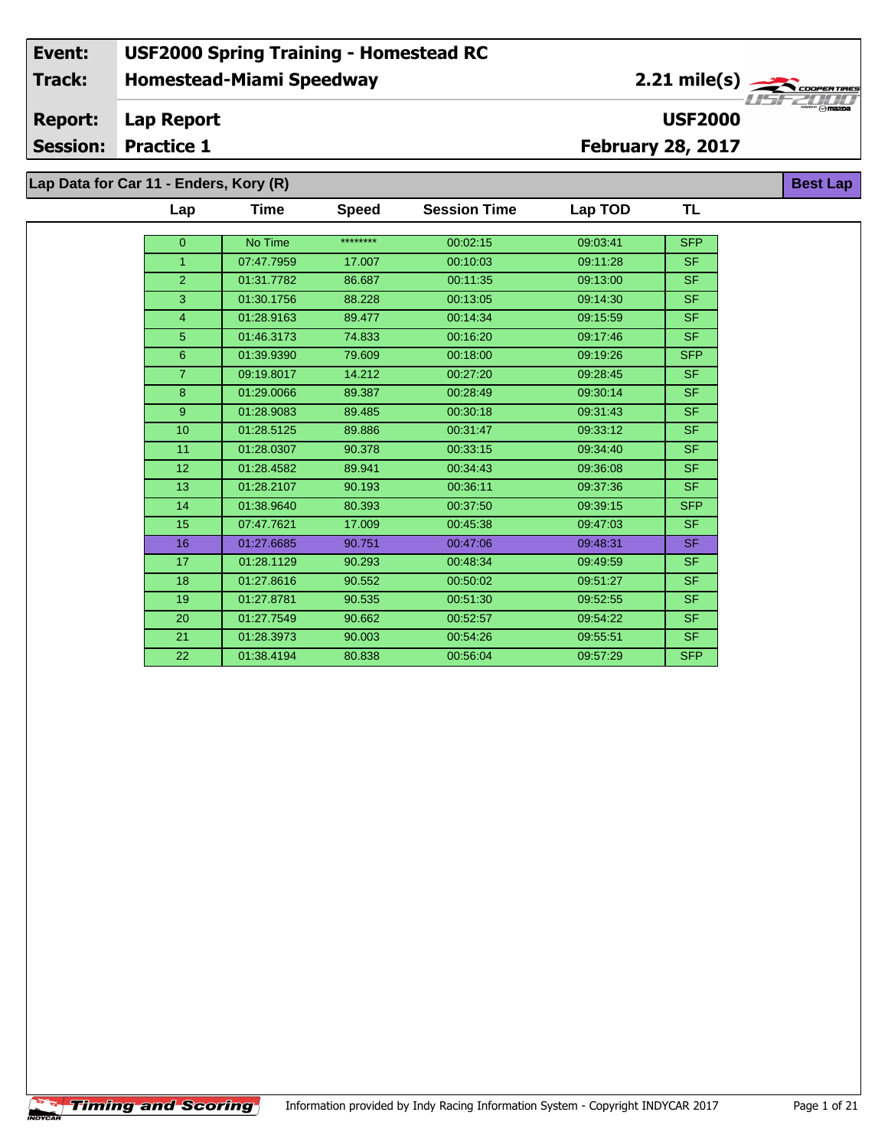# **Homestead-Miami Speedway Event: USF2000 Spring Training - Homestead RC Track:**

2.21 mile(s)

**USF2000**

**Best Lap**

#### **Lap Report Report:**

**Session: Practice 1**

**February 28, 2017**

**Lap Data for Car 11 - Enders, Kory (R)**

| Lap             | Time       | <b>Speed</b> | <b>Session Time</b> | Lap TOD  | TL         |
|-----------------|------------|--------------|---------------------|----------|------------|
| $\overline{0}$  | No Time    | ********     | 00:02:15            | 09:03:41 | <b>SFP</b> |
| $\mathbf{1}$    | 07:47.7959 |              | 00:10:03            |          | <b>SF</b>  |
|                 |            | 17.007       |                     | 09:11:28 |            |
| $\overline{2}$  | 01:31.7782 | 86.687       | 00:11:35            | 09:13:00 | <b>SF</b>  |
| 3               | 01:30.1756 | 88.228       | 00:13:05            | 09:14:30 | <b>SF</b>  |
| $\overline{4}$  | 01:28.9163 | 89.477       | 00:14:34            | 09:15:59 | <b>SF</b>  |
| 5               | 01:46.3173 | 74.833       | 00:16:20            | 09:17:46 | <b>SF</b>  |
| $6\phantom{1}6$ | 01:39.9390 | 79.609       | 00:18:00            | 09:19:26 | <b>SFP</b> |
| $\overline{7}$  | 09:19.8017 | 14.212       | 00:27:20            | 09:28:45 | <b>SF</b>  |
| 8               | 01:29.0066 | 89.387       | 00:28:49            | 09:30:14 | <b>SF</b>  |
| 9               | 01:28.9083 | 89.485       | 00:30:18            | 09:31:43 | <b>SF</b>  |
| 10              | 01:28.5125 | 89.886       | 00:31:47            | 09:33:12 | <b>SF</b>  |
| 11              | 01:28.0307 | 90.378       | 00:33:15            | 09:34:40 | SF.        |
| 12 <sup>2</sup> | 01:28.4582 | 89.941       | 00:34:43            | 09:36:08 | SF.        |
| 13              | 01:28.2107 | 90.193       | 00:36:11            | 09:37:36 | SF.        |
| 14              | 01:38.9640 | 80.393       | 00:37:50            | 09:39:15 | <b>SFP</b> |
| 15              | 07:47.7621 | 17.009       | 00:45:38            | 09:47:03 | <b>SF</b>  |
| 16              | 01:27.6685 | 90.751       | 00:47:06            | 09:48:31 | <b>SF</b>  |
| 17              | 01:28.1129 | 90.293       | 00:48:34            | 09:49:59 | <b>SF</b>  |
| 18              | 01:27.8616 | 90.552       | 00:50:02            | 09:51:27 | <b>SF</b>  |
| 19              | 01:27.8781 | 90.535       | 00:51:30            | 09:52:55 | <b>SF</b>  |
| 20              | 01:27.7549 | 90.662       | 00:52:57            | 09:54:22 | <b>SF</b>  |
| 21              | 01:28.3973 | 90.003       | 00:54:26            | 09:55:51 | <b>SF</b>  |
| 22              | 01:38.4194 | 80.838       | 00:56:04            | 09:57:29 | <b>SFP</b> |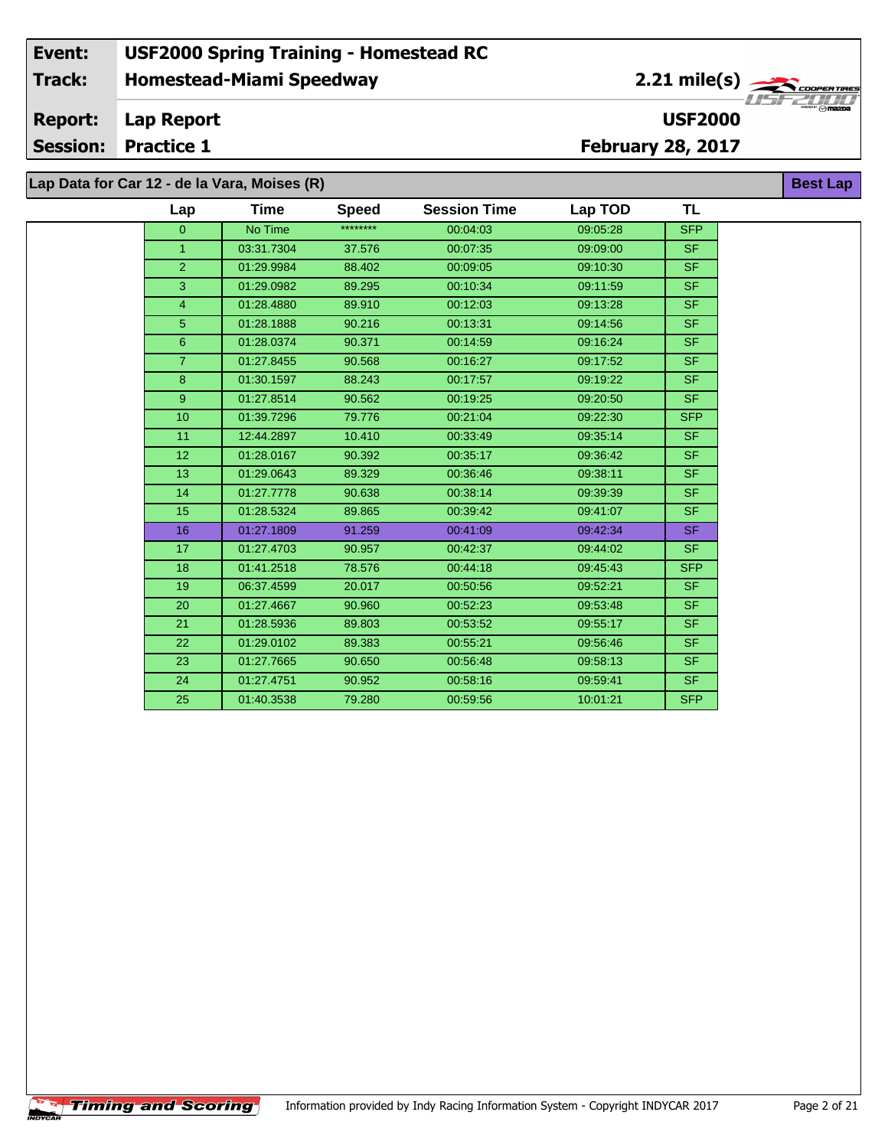#### **Event: USF2000 Spring Training - Homestead RC 2.21 mile(s) Track: Homestead-Miami Speedway** .<br>COOPERTIRE **Report: Lap Report USF2000 Session: Practice 1 February 28, 2017**

**Lap Data for Car 12 - de la Vara, Moises (R)**

÷.

| Lap            | Time       | <b>Speed</b> | <b>Session Time</b> | Lap TOD  | <b>TL</b>                |
|----------------|------------|--------------|---------------------|----------|--------------------------|
| $\overline{0}$ | No Time    | ********     | 00:04:03            | 09:05:28 | <b>SFP</b>               |
| $\mathbf{1}$   | 03:31.7304 | 37.576       | 00:07:35            | 09:09:00 | <b>SF</b>                |
| $\overline{2}$ | 01:29.9984 | 88.402       | 00:09:05            | 09:10:30 | $\overline{\mathsf{SF}}$ |
| 3              | 01:29.0982 | 89.295       | 00:10:34            | 09:11:59 | SF.                      |
| $\overline{4}$ | 01:28.4880 | 89.910       | 00:12:03            | 09:13:28 | <b>SF</b>                |
| 5 <sup>5</sup> | 01:28.1888 | 90.216       | 00:13:31            | 09:14:56 | <b>SF</b>                |
| $6\phantom{1}$ | 01:28.0374 | 90.371       | 00:14:59            | 09:16:24 | SF.                      |
| $\overline{7}$ | 01:27.8455 | 90.568       | 00:16:27            | 09:17:52 | <b>SF</b>                |
| 8              | 01:30.1597 | 88.243       | 00:17:57            | 09:19:22 | <b>SF</b>                |
| 9              | 01:27.8514 | 90.562       | 00:19:25            | 09:20:50 | <b>SF</b>                |
| 10             | 01:39.7296 | 79.776       | 00:21:04            | 09:22:30 | <b>SFP</b>               |
| 11             | 12:44.2897 | 10.410       | 00:33:49            | 09:35:14 | <b>SF</b>                |
| 12             | 01:28.0167 | 90.392       | 00:35:17            | 09:36:42 | <b>SF</b>                |
| 13             | 01:29.0643 | 89.329       | 00:36:46            | 09:38:11 | <b>SF</b>                |
| 14             | 01:27.7778 | 90.638       | 00:38:14            | 09:39:39 | <b>SF</b>                |
| 15             | 01:28.5324 | 89.865       | 00:39:42            | 09:41:07 | <b>SF</b>                |
| 16             | 01:27.1809 | 91.259       | 00:41:09            | 09:42:34 | SF.                      |
| 17             | 01:27.4703 | 90.957       | 00:42:37            | 09:44:02 | <b>SF</b>                |
| 18             | 01:41.2518 | 78.576       | 00:44:18            | 09:45:43 | <b>SFP</b>               |
| 19             | 06:37.4599 | 20.017       | 00:50:56            | 09:52:21 | <b>SF</b>                |
| 20             | 01:27.4667 | 90.960       | 00:52:23            | 09:53:48 | <b>SF</b>                |
| 21             | 01:28.5936 | 89.803       | 00:53:52            | 09:55:17 | <b>SF</b>                |
| 22             | 01:29.0102 | 89.383       | 00:55:21            | 09:56:46 | <b>SF</b>                |
| 23             | 01:27.7665 | 90.650       | 00:56:48            | 09:58:13 | <b>SF</b>                |
| 24             | 01:27.4751 | 90.952       | 00:58:16            | 09:59:41 | <b>SF</b>                |
| 25             | 01:40.3538 | 79.280       | 00:59:56            | 10:01:21 | <b>SFP</b>               |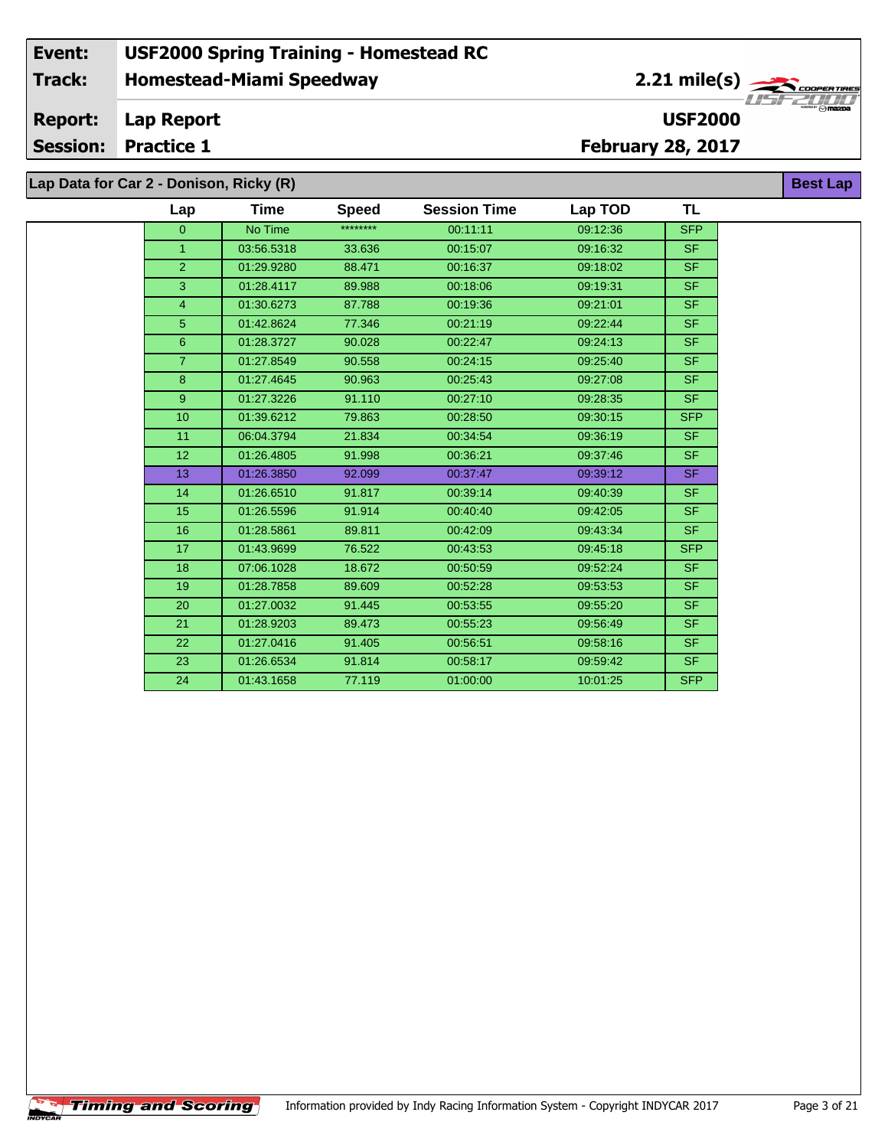#### **Event: USF2000 Spring Training - Homestead RC 2.21 mile(s) Track: Homestead-Miami Speedway COOPERTIRE OOPER TIRE**<br>Max<sub>o</sub>maxba **Report: Lap Report USF2000 Session: Practice 1 February 28, 2017 Lap Data for Car 2 - Donison, Ricky (R) Best Lap**

| <b>Session Time</b><br><b>Speed</b><br>Time<br>Lap<br>********<br>No Time<br>00:11:11<br>$\Omega$<br>03:56.5318<br>33.636<br>00:15:07<br>$\mathbf{1}$ | TL<br>Lap TOD<br>09:12:36<br><b>SFP</b> |
|-------------------------------------------------------------------------------------------------------------------------------------------------------|-----------------------------------------|
|                                                                                                                                                       |                                         |
|                                                                                                                                                       |                                         |
|                                                                                                                                                       | 09:16:32<br>SF.                         |
| $\overline{2}$<br>01:29.9280<br>88.471<br>00:16:37                                                                                                    | <b>SF</b><br>09:18:02                   |
| 3<br>00:18:06<br>01:28.4117<br>89.988                                                                                                                 | <b>SF</b><br>09:19:31                   |
| $\overline{4}$<br>01:30.6273<br>87.788<br>00:19:36                                                                                                    | <b>SF</b><br>09:21:01                   |
| 5<br>01:42.8624<br>77.346<br>00:21:19                                                                                                                 | SF.<br>09:22:44                         |
| 01:28.3727<br>90.028<br>6<br>00:22:47                                                                                                                 | SF.<br>09:24:13                         |
| $\overline{7}$<br>01:27.8549<br>90.558<br>00:24:15                                                                                                    | <b>SF</b><br>09:25:40                   |
| 8<br>01:27.4645<br>90.963<br>00:25:43                                                                                                                 | <b>SF</b><br>09:27:08                   |
| 9 <sup>°</sup><br>01:27.3226<br>91.110<br>00:27:10                                                                                                    | SF.<br>09:28:35                         |
| 10<br>01:39.6212<br>79.863<br>00:28:50                                                                                                                | <b>SFP</b><br>09:30:15                  |
| 11<br>06:04.3794<br>21.834<br>00:34:54                                                                                                                | <b>SF</b><br>09:36:19                   |
| 12<br>91.998<br>01:26.4805<br>00:36:21                                                                                                                | <b>SF</b><br>09:37:46                   |
| 13<br>01:26.3850<br>92.099<br>00:37:47                                                                                                                | SF.<br>09:39:12                         |
| 01:26.6510<br>91.817<br>14<br>00:39:14                                                                                                                | SF.<br>09:40:39                         |
| 15<br>91.914<br>01:26.5596<br>00:40:40                                                                                                                | SF.<br>09:42:05                         |
| 16<br>01:28.5861<br>89.811<br>00:42:09                                                                                                                | <b>SF</b><br>09:43:34                   |
| 17<br>76.522<br>00:43:53<br>01:43.9699                                                                                                                | <b>SFP</b><br>09:45:18                  |
| 18<br>07:06.1028<br>18.672<br>00:50:59                                                                                                                | SF.<br>09:52:24                         |
| 01:28.7858<br>89.609<br>19<br>00:52:28                                                                                                                | SF.<br>09:53:53                         |
| 20<br>91.445<br>01:27.0032<br>00:53:55                                                                                                                | <b>SF</b><br>09:55:20                   |
| 21<br>01:28.9203<br>89.473<br>00:55:23                                                                                                                | <b>SF</b><br>09:56:49                   |
| 22<br>01:27.0416<br>91.405<br>00:56:51                                                                                                                | <b>SF</b><br>09:58:16                   |
| 23<br>01:26.6534<br>91.814<br>00:58:17                                                                                                                | SF.<br>09:59:42                         |
| 24<br>01:43.1658<br>77.119<br>01:00:00                                                                                                                | 10:01:25<br><b>SFP</b>                  |

÷.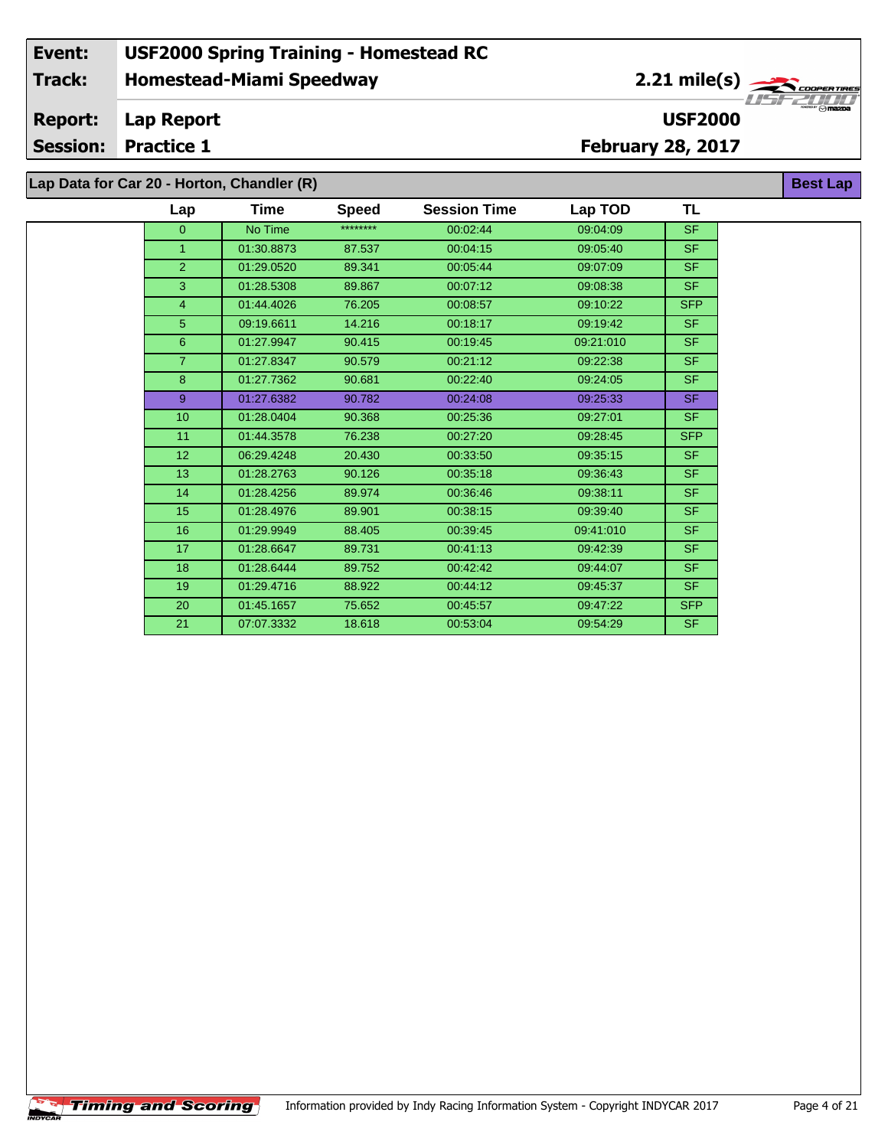**Lap Data for Car 20 - Horton, Chandler (R)**

| Lap             | Time       | <b>Speed</b> | <b>Session Time</b> | Lap TOD   | TL         |
|-----------------|------------|--------------|---------------------|-----------|------------|
| $\mathbf{0}$    | No Time    | ********     | 00:02:44            | 09:04:09  | <b>SF</b>  |
| $\mathbf{1}$    | 01:30.8873 | 87.537       | 00:04:15            | 09:05:40  | <b>SF</b>  |
| $\overline{2}$  | 01:29.0520 | 89.341       | 00:05:44            | 09:07:09  | <b>SF</b>  |
| 3               | 01:28.5308 | 89.867       | 00:07:12            | 09:08:38  | <b>SF</b>  |
| $\overline{4}$  | 01:44.4026 | 76.205       | 00:08:57            | 09:10:22  | <b>SFP</b> |
| $\overline{5}$  | 09:19.6611 | 14.216       | 00:18:17            | 09:19:42  | <b>SF</b>  |
| $6\phantom{1}$  | 01:27.9947 | 90.415       | 00:19:45            | 09:21:010 | <b>SF</b>  |
| $\overline{7}$  | 01:27.8347 | 90.579       | 00:21:12            | 09:22:38  | <b>SF</b>  |
| 8               | 01:27.7362 | 90.681       | 00:22:40            | 09:24:05  | <b>SF</b>  |
| 9               | 01:27.6382 | 90.782       | 00:24:08            | 09:25:33  | <b>SF</b>  |
| 10              | 01:28.0404 | 90.368       | 00:25:36            | 09:27:01  | <b>SF</b>  |
| 11              | 01:44.3578 | 76.238       | 00:27:20            | 09:28:45  | <b>SFP</b> |
| 12 <sup>2</sup> | 06:29.4248 | 20.430       | 00:33:50            | 09:35:15  | <b>SF</b>  |
| 13              | 01:28.2763 | 90.126       | 00:35:18            | 09:36:43  | <b>SF</b>  |
| 14              | 01:28.4256 | 89.974       | 00:36:46            | 09:38:11  | <b>SF</b>  |
| 15              | 01:28.4976 | 89.901       | 00:38:15            | 09:39:40  | <b>SF</b>  |
| 16              | 01:29.9949 | 88.405       | 00:39:45            | 09:41:010 | <b>SF</b>  |
| 17              | 01:28.6647 | 89.731       | 00:41:13            | 09:42:39  | <b>SF</b>  |
| 18              | 01:28.6444 | 89.752       | 00:42:42            | 09:44:07  | <b>SF</b>  |
| 19              | 01:29.4716 | 88.922       | 00:44:12            | 09:45:37  | <b>SF</b>  |
| 20              | 01:45.1657 | 75.652       | 00:45:57            | 09:47:22  | <b>SFP</b> |
| 21              | 07:07.3332 | 18.618       | 00:53:04            | 09:54:29  | <b>SF</b>  |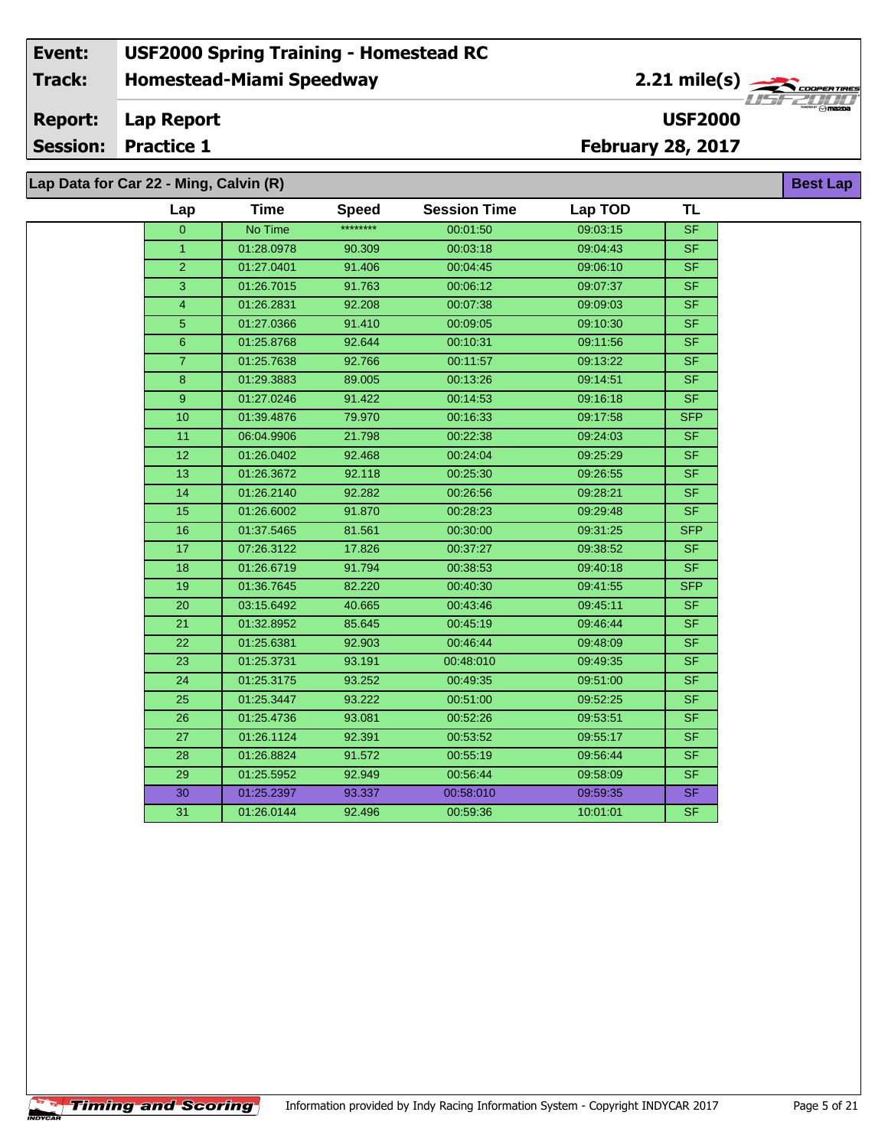#### **Homestead-Miami Speedway Lap Report February 28, 2017 Event: USF2000 Spring Training - Homestead RC Track: Report: Session: Practice 1 USF2000** 2.21 mile(s) **Best Lap Lap Data for Car 22 - Ming, Calvin (R)**

| $\lceil$ Lap Data for Gar ZZ - Ming, Garvin $\lceil$ K) |     |                  |             |
|---------------------------------------------------------|-----|------------------|-------------|
|                                                         | Lap | Time             | <b>Spee</b> |
|                                                         |     | <b>NIA Times</b> | ********    |

**Timing and Scoring** 

÷.

| Lap              | Time       | <b>Speed</b> | <b>Session Time</b> | Lap TOD  | TL         |
|------------------|------------|--------------|---------------------|----------|------------|
| $\overline{0}$   | No Time    | ********     | 00:01:50            | 09:03:15 | <b>SF</b>  |
| $\mathbf{1}$     | 01:28.0978 | 90.309       | 00:03:18            | 09:04:43 | <b>SF</b>  |
| $\overline{2}$   | 01:27.0401 | 91.406       | 00:04:45            | 09:06:10 | SF.        |
| 3                | 01:26.7015 | 91.763       | 00:06:12            | 09:07:37 | <b>SF</b>  |
| $\overline{4}$   | 01:26.2831 | 92.208       | 00:07:38            | 09:09:03 | <b>SF</b>  |
| 5                | 01:27.0366 | 91.410       | 00:09:05            | 09:10:30 | <b>SF</b>  |
| $\overline{6}$   | 01:25.8768 | 92.644       | 00:10:31            | 09:11:56 | <b>SF</b>  |
| $\overline{7}$   | 01:25.7638 | 92.766       | 00:11:57            | 09:13:22 | <b>SF</b>  |
| 8                | 01:29.3883 | 89.005       | 00:13:26            | 09:14:51 | <b>SF</b>  |
| $\boldsymbol{9}$ | 01:27.0246 | 91.422       | 00:14:53            | 09:16:18 | <b>SF</b>  |
| 10               | 01:39.4876 | 79.970       | 00:16:33            | 09:17:58 | <b>SFP</b> |
| 11               | 06:04.9906 | 21.798       | 00:22:38            | 09:24:03 | SF.        |
| 12               | 01:26.0402 | 92.468       | 00:24:04            | 09:25:29 | <b>SF</b>  |
| 13               | 01:26.3672 | 92.118       | 00:25:30            | 09:26:55 | <b>SF</b>  |
| 14               | 01:26.2140 | 92.282       | 00:26:56            | 09:28:21 | <b>SF</b>  |
| 15               | 01:26.6002 | 91.870       | 00:28:23            | 09:29:48 | <b>SF</b>  |
| 16               | 01:37.5465 | 81.561       | 00:30:00            | 09:31:25 | <b>SFP</b> |
| 17               | 07:26.3122 | 17.826       | 00:37:27            | 09:38:52 | <b>SF</b>  |
| 18               | 01:26.6719 | 91.794       | 00:38:53            | 09:40:18 | <b>SF</b>  |
| 19               | 01:36.7645 | 82.220       | 00:40:30            | 09:41:55 | <b>SFP</b> |
| 20               | 03:15.6492 | 40.665       | 00:43:46            | 09:45:11 | <b>SF</b>  |
| 21               | 01:32.8952 | 85.645       | 00:45:19            | 09:46:44 | <b>SF</b>  |
| 22               | 01:25.6381 | 92.903       | 00:46:44            | 09:48:09 | <b>SF</b>  |
| 23               | 01:25.3731 | 93.191       | 00:48:010           | 09:49:35 | <b>SF</b>  |
| 24               | 01:25.3175 | 93.252       | 00:49:35            | 09:51:00 | <b>SF</b>  |
| 25               | 01:25.3447 | 93.222       | 00:51:00            | 09:52:25 | <b>SF</b>  |
| 26               | 01:25.4736 | 93.081       | 00:52:26            | 09:53:51 | <b>SF</b>  |
| 27               | 01:26.1124 | 92.391       | 00:53:52            | 09:55:17 | <b>SF</b>  |
| 28               | 01:26.8824 | 91.572       | 00:55:19            | 09:56:44 | <b>SF</b>  |
| 29               | 01:25.5952 | 92.949       | 00:56:44            | 09:58:09 | <b>SF</b>  |
| 30               | 01:25.2397 | 93.337       | 00:58:010           | 09:59:35 | <b>SF</b>  |
| 31               | 01:26.0144 | 92.496       | 00:59:36            | 10:01:01 | <b>SF</b>  |
|                  |            |              |                     |          |            |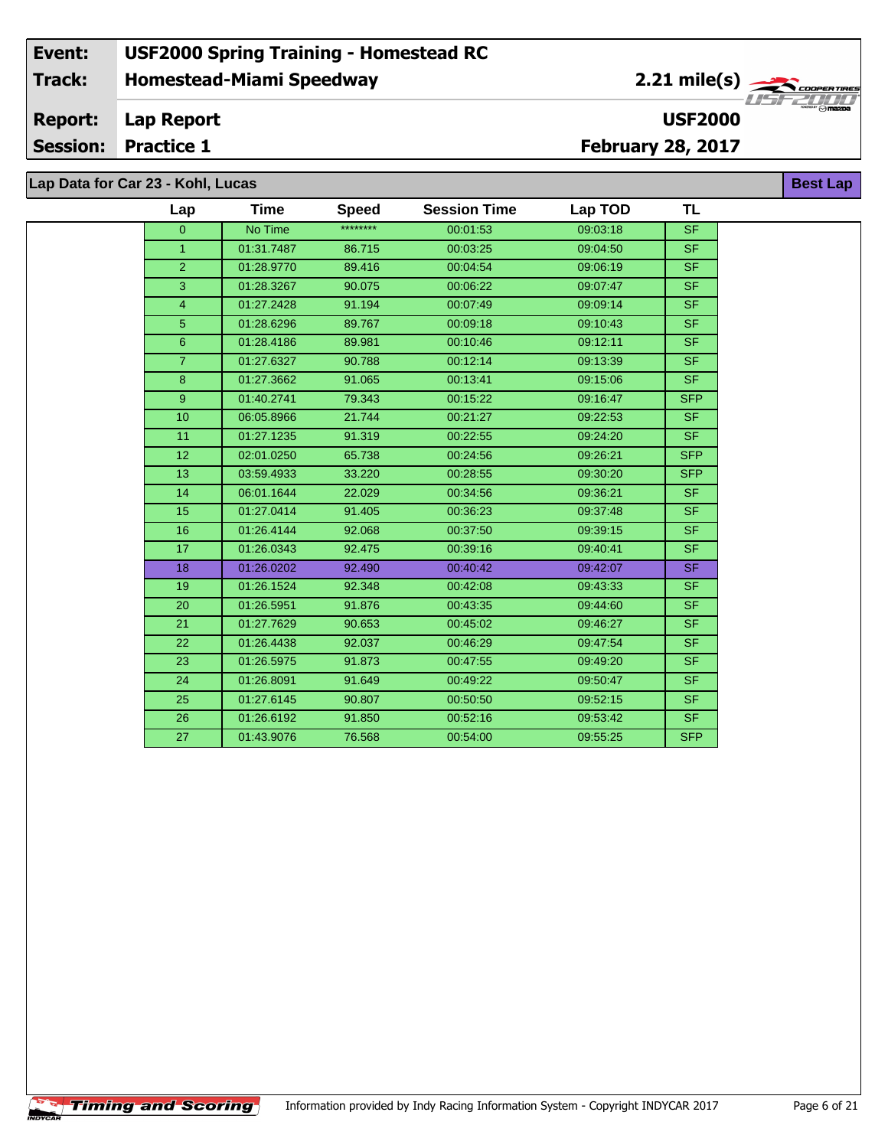**Lap Data for Car 23 - Kohl, Lucas**

 $\sqrt{\textbf{T}}$ iming and Scoring $\sqrt{\textbf{S}}$ 

÷.

| Lap            | Time       | <b>Speed</b> | <b>Session Time</b> | Lap TOD  | TL                       |
|----------------|------------|--------------|---------------------|----------|--------------------------|
| $\Omega$       | No Time    | ********     | 00:01:53            | 09:03:18 | <b>SF</b>                |
| $\mathbf{1}$   | 01:31.7487 | 86.715       | 00:03:25            | 09:04:50 | <b>SF</b>                |
| $\overline{2}$ | 01:28.9770 | 89.416       | 00:04:54            | 09:06:19 | <b>SF</b>                |
| 3              | 01:28.3267 | 90.075       | 00:06:22            | 09:07:47 | <b>SF</b>                |
| $\overline{4}$ | 01:27.2428 | 91.194       | 00:07:49            | 09:09:14 | $\overline{\mathsf{SF}}$ |
| 5 <sup>5</sup> | 01:28.6296 | 89.767       | 00:09:18            | 09:10:43 | <b>SF</b>                |
| 6              | 01:28.4186 | 89.981       | 00:10:46            | 09:12:11 | <b>SF</b>                |
| $\overline{7}$ | 01:27.6327 | 90.788       | 00:12:14            | 09:13:39 | <b>SF</b>                |
| 8              | 01:27.3662 | 91.065       | 00:13:41            | 09:15:06 | <b>SF</b>                |
| 9              | 01:40.2741 | 79.343       | 00:15:22            | 09:16:47 | <b>SFP</b>               |
| 10             | 06:05.8966 | 21.744       | 00:21:27            | 09:22:53 | <b>SF</b>                |
| 11             | 01:27.1235 | 91.319       | 00:22:55            | 09:24:20 | <b>SF</b>                |
| 12             | 02:01.0250 | 65.738       | 00:24:56            | 09:26:21 | <b>SFP</b>               |
| 13             | 03:59.4933 | 33.220       | 00:28:55            | 09:30:20 | <b>SFP</b>               |
| 14             | 06:01.1644 | 22.029       | 00:34:56            | 09:36:21 | <b>SF</b>                |
| 15             | 01:27.0414 | 91.405       | 00:36:23            | 09:37:48 | <b>SF</b>                |
| 16             | 01:26.4144 | 92.068       | 00:37:50            | 09:39:15 | <b>SF</b>                |
| 17             | 01:26.0343 | 92.475       | 00:39:16            | 09:40:41 | <b>SF</b>                |
| 18             | 01:26.0202 | 92.490       | 00:40:42            | 09:42:07 | <b>SF</b>                |
| 19             | 01:26.1524 | 92.348       | 00:42:08            | 09:43:33 | <b>SF</b>                |
| 20             | 01:26.5951 | 91.876       | 00:43:35            | 09:44:60 | $\overline{\mathsf{SF}}$ |
| 21             | 01:27.7629 | 90.653       | 00:45:02            | 09:46:27 | <b>SF</b>                |
| 22             | 01:26.4438 | 92.037       | 00:46:29            | 09:47:54 | <b>SF</b>                |
| 23             | 01:26.5975 | 91.873       | 00:47:55            | 09:49:20 | <b>SF</b>                |
| 24             | 01:26.8091 | 91.649       | 00:49:22            | 09:50:47 | <b>SF</b>                |
| 25             | 01:27.6145 | 90.807       | 00:50:50            | 09:52:15 | $\overline{\mathsf{SF}}$ |
| 26             | 01:26.6192 | 91.850       | 00:52:16            | 09:53:42 | <b>SF</b>                |
| 27             | 01:43.9076 | 76.568       | 00:54:00            | 09:55:25 | <b>SFP</b>               |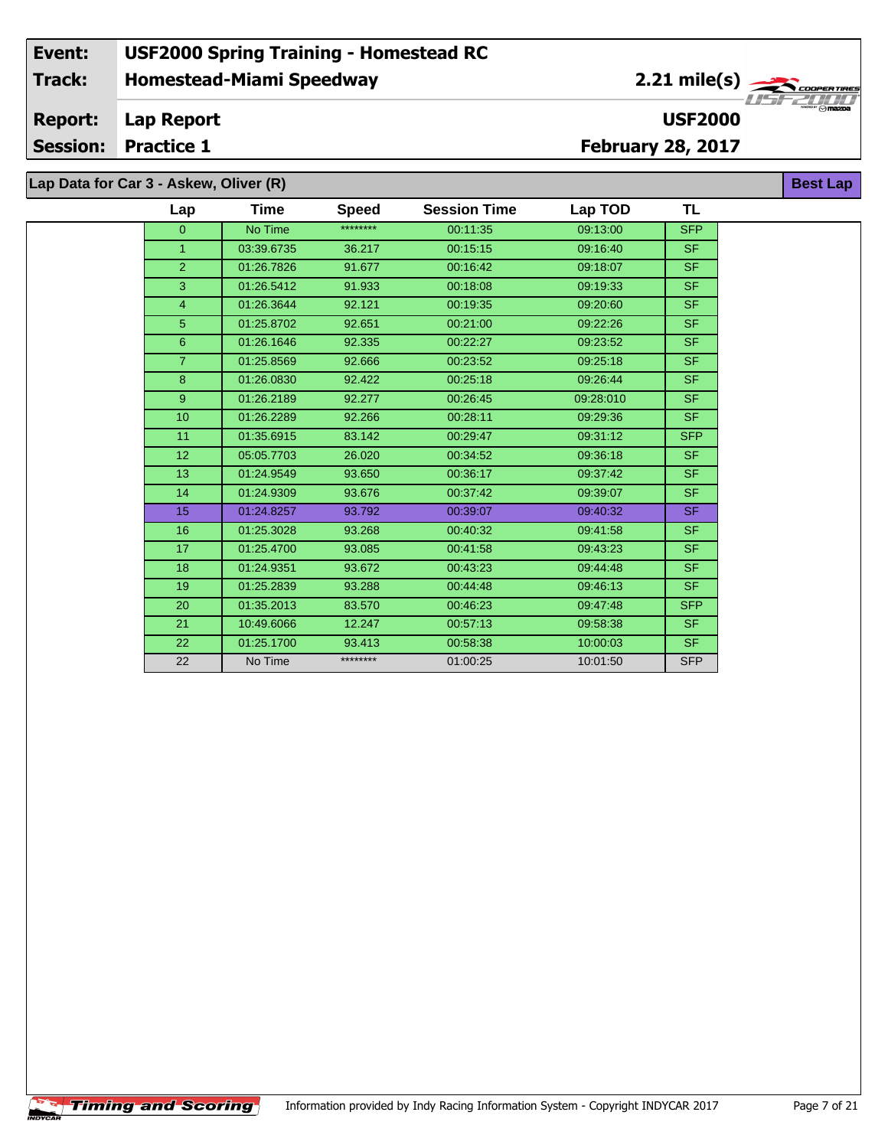#### **Event: USF2000 Spring Training - Homestead RC 2.21 mile(s) Track: Homestead-Miami Speedway** COOPERTIRE **Report: Lap Report USF2000 Session: Practice 1 February 28, 2017 Best Lap**

**Lap Data for Car 3 - Askew, Oliver (R)**

÷.

| Lap            | Time       | <b>Speed</b> | <b>Session Time</b> | Lap TOD   | <b>TL</b>                |
|----------------|------------|--------------|---------------------|-----------|--------------------------|
| $\overline{0}$ | No Time    | ********     | 00:11:35            | 09:13:00  | <b>SFP</b>               |
| 1.             | 03:39.6735 | 36.217       | 00:15:15            | 09:16:40  | SF.                      |
| $\overline{2}$ | 01:26.7826 | 91.677       | 00:16:42            | 09:18:07  | SF.                      |
| 3              | 01:26.5412 | 91.933       | 00:18:08            | 09:19:33  | SF.                      |
| 4              | 01:26.3644 | 92.121       | 00:19:35            | 09:20:60  | <b>SF</b>                |
| 5              | 01:25.8702 | 92.651       | 00:21:00            | 09:22:26  | <b>SF</b>                |
| $6\phantom{1}$ | 01:26.1646 | 92.335       | 00:22:27            | 09:23:52  | <b>SF</b>                |
| $\overline{7}$ | 01:25.8569 | 92.666       | 00:23:52            | 09:25:18  | SF.                      |
| 8              | 01:26.0830 | 92.422       | 00:25:18            | 09:26:44  | <b>SF</b>                |
| 9 <sup>°</sup> | 01:26.2189 | 92.277       | 00:26:45            | 09:28:010 | SF.                      |
| 10             | 01:26.2289 | 92.266       | 00:28:11            | 09:29:36  | SF.                      |
| 11             | 01:35.6915 | 83.142       | 00:29:47            | 09:31:12  | <b>SFP</b>               |
| 12             | 05:05.7703 | 26.020       | 00:34:52            | 09:36:18  | SF.                      |
| 13             | 01:24.9549 | 93.650       | 00:36:17            | 09:37:42  | <b>SF</b>                |
| 14             | 01:24.9309 | 93.676       | 00:37:42            | 09:39:07  | SF.                      |
| 15             | 01:24.8257 | 93.792       | 00:39:07            | 09:40:32  | <b>SF</b>                |
| 16             | 01:25.3028 | 93.268       | 00:40:32            | 09:41:58  | <b>SF</b>                |
| 17             | 01:25.4700 | 93.085       | 00:41:58            | 09:43:23  | SF.                      |
| 18             | 01:24.9351 | 93.672       | 00:43:23            | 09:44:48  | SF.                      |
| 19             | 01:25.2839 | 93.288       | 00:44:48            | 09:46:13  | SF.                      |
| 20             | 01:35.2013 | 83.570       | 00:46:23            | 09:47:48  | <b>SFP</b>               |
| 21             | 10:49.6066 | 12.247       | 00:57:13            | 09:58:38  | SF.                      |
| 22             | 01:25.1700 | 93.413       | 00:58:38            | 10:00:03  | $\overline{\mathsf{SF}}$ |
| 22             | No Time    | ********     | 01:00:25            | 10:01:50  | <b>SFP</b>               |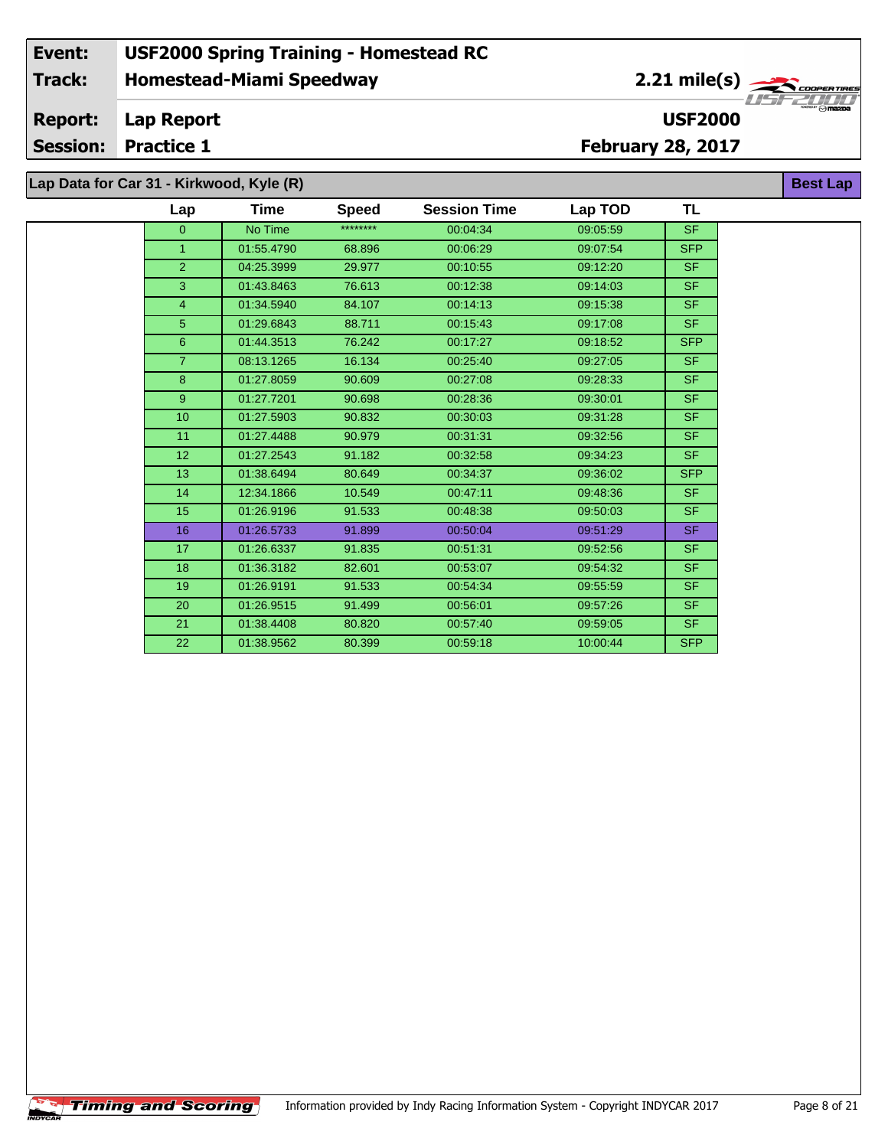**Lap Data for Car 31 - Kirkwood, Kyle (R)**

 $\overline{\phantom{a}}$ 

| Lap             | Time       | <b>Speed</b> | <b>Session Time</b> | Lap TOD  | <b>TL</b>  |
|-----------------|------------|--------------|---------------------|----------|------------|
| $\overline{0}$  | No Time    | ********     | 00:04:34            | 09:05:59 | SF.        |
| $\overline{1}$  | 01:55.4790 | 68.896       | 00:06:29            | 09:07:54 | <b>SFP</b> |
| $\overline{2}$  | 04:25.3999 | 29.977       | 00:10:55            | 09:12:20 | <b>SF</b>  |
| 3               | 01:43.8463 | 76.613       | 00:12:38            | 09:14:03 | <b>SF</b>  |
| $\overline{4}$  | 01:34.5940 | 84.107       | 00:14:13            | 09:15:38 | <b>SF</b>  |
| 5               | 01:29.6843 | 88.711       | 00:15:43            | 09:17:08 | <b>SF</b>  |
| 6               | 01:44.3513 | 76.242       | 00:17:27            | 09:18:52 | <b>SFP</b> |
| $\overline{7}$  | 08:13.1265 | 16.134       | 00:25:40            | 09:27:05 | <b>SF</b>  |
| 8               | 01:27.8059 | 90.609       | 00:27:08            | 09:28:33 | SF.        |
| 9               | 01:27.7201 | 90.698       | 00:28:36            | 09:30:01 | <b>SF</b>  |
| 10 <sub>1</sub> | 01:27.5903 | 90.832       | 00:30:03            | 09:31:28 | <b>SF</b>  |
| 11              | 01:27.4488 | 90.979       | 00:31:31            | 09:32:56 | <b>SF</b>  |
| 12              | 01:27.2543 | 91.182       | 00:32:58            | 09:34:23 | <b>SF</b>  |
| 13              | 01:38.6494 | 80.649       | 00:34:37            | 09:36:02 | <b>SFP</b> |
| 14              | 12:34.1866 | 10.549       | 00:47:11            | 09:48:36 | SF.        |
| 15              | 01:26.9196 | 91.533       | 00:48:38            | 09:50:03 | <b>SF</b>  |
| 16              | 01:26.5733 | 91.899       | 00:50:04            | 09:51:29 | SF.        |
| 17              | 01:26.6337 | 91.835       | 00:51:31            | 09:52:56 | <b>SF</b>  |
| 18              | 01:36.3182 | 82.601       | 00:53:07            | 09:54:32 | <b>SF</b>  |
| 19              | 01:26.9191 | 91.533       | 00:54:34            | 09:55:59 | <b>SF</b>  |
| 20              | 01:26.9515 | 91.499       | 00:56:01            | 09:57:26 | SF.        |
| 21              | 01:38.4408 | 80.820       | 00:57:40            | 09:59:05 | SF.        |
| 22              | 01:38.9562 | 80.399       | 00:59:18            | 10:00:44 | <b>SFP</b> |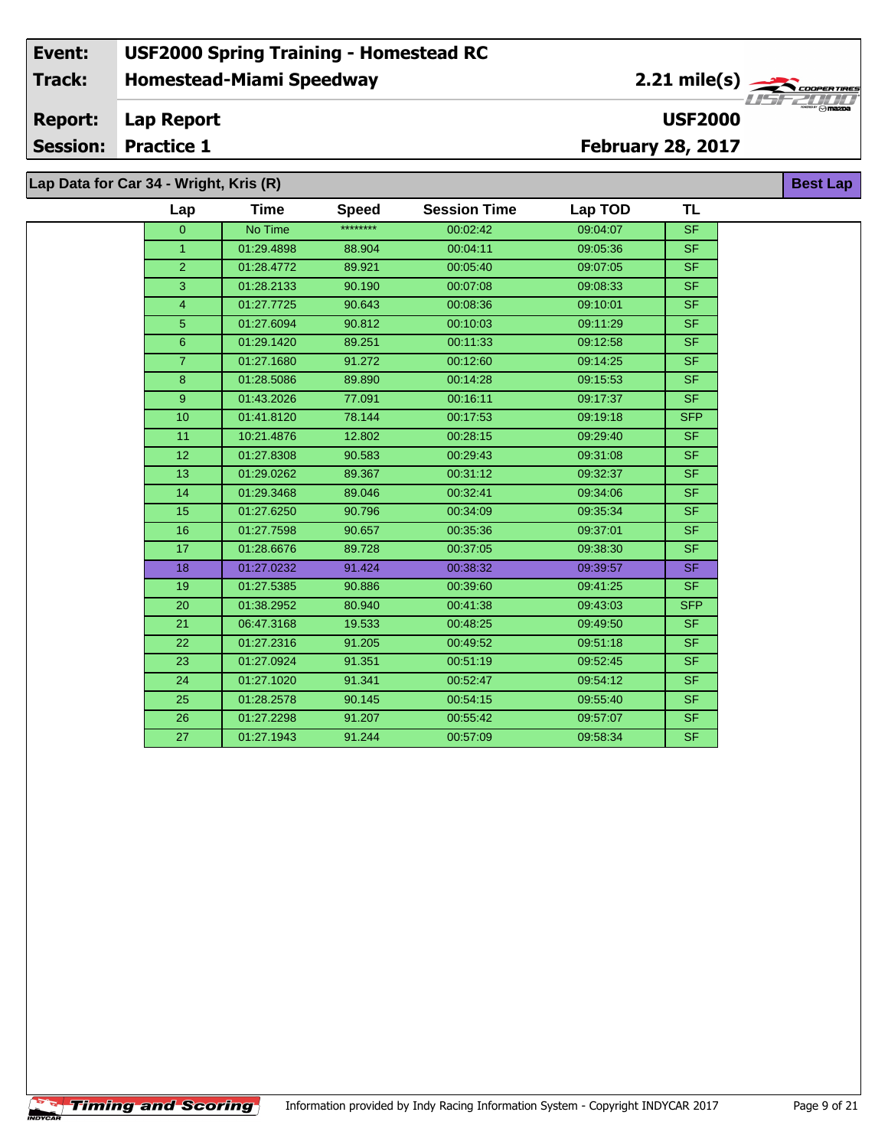**Lap Data for Car 34 - Wright, Kris (R)**

 $\sqrt{\textbf{T}}$ iming and Scoring $\sqrt{\textbf{S}}$ 

÷.

| Lap            | Time       | <b>Speed</b> | <b>Session Time</b> | Lap TOD  | TL                       |
|----------------|------------|--------------|---------------------|----------|--------------------------|
| $\Omega$       | No Time    | ********     | 00:02:42            | 09:04:07 | <b>SF</b>                |
| $\mathbf{1}$   | 01:29.4898 | 88.904       | 00:04:11            | 09:05:36 | <b>SF</b>                |
| $\overline{2}$ | 01:28.4772 | 89.921       | 00:05:40            | 09:07:05 | $\overline{\mathsf{SF}}$ |
| 3              | 01:28.2133 | 90.190       | 00:07:08            | 09:08:33 | SF.                      |
| $\overline{4}$ | 01:27.7725 | 90.643       | 00:08:36            | 09:10:01 | <b>SF</b>                |
| $\overline{5}$ | 01:27.6094 | 90.812       | 00:10:03            | 09:11:29 | SF.                      |
| 6              | 01:29.1420 | 89.251       | 00:11:33            | 09:12:58 | S <sub>F</sub>           |
| $\overline{7}$ | 01:27.1680 | 91.272       | 00:12:60            | 09:14:25 | <b>SF</b>                |
| 8              | 01:28.5086 | 89.890       | 00:14:28            | 09:15:53 | <b>SF</b>                |
| 9              | 01:43.2026 | 77.091       | 00:16:11            | 09:17:37 | SF.                      |
| 10             | 01:41.8120 | 78.144       | 00:17:53            | 09:19:18 | <b>SFP</b>               |
| 11             | 10:21.4876 | 12.802       | 00:28:15            | 09:29:40 | SF.                      |
| 12             | 01:27.8308 | 90.583       | 00:29:43            | 09:31:08 | <b>SF</b>                |
| 13             | 01:29.0262 | 89.367       | 00:31:12            | 09:32:37 | <b>SF</b>                |
| 14             | 01:29.3468 | 89.046       | 00:32:41            | 09:34:06 | <b>SF</b>                |
| 15             | 01:27.6250 | 90.796       | 00:34:09            | 09:35:34 | <b>SF</b>                |
| 16             | 01:27.7598 | 90.657       | 00:35:36            | 09:37:01 | <b>SF</b>                |
| 17             | 01:28.6676 | 89.728       | 00:37:05            | 09:38:30 | <b>SF</b>                |
| 18             | 01:27.0232 | 91.424       | 00:38:32            | 09:39:57 | <b>SF</b>                |
| 19             | 01:27.5385 | 90.886       | 00:39:60            | 09:41:25 | <b>SF</b>                |
| 20             | 01:38.2952 | 80.940       | 00:41:38            | 09:43:03 | <b>SFP</b>               |
| 21             | 06:47.3168 | 19.533       | 00:48:25            | 09:49:50 | <b>SF</b>                |
| 22             | 01:27.2316 | 91.205       | 00:49:52            | 09:51:18 | <b>SF</b>                |
| 23             | 01:27.0924 | 91.351       | 00:51:19            | 09:52:45 | SF                       |
| 24             | 01:27.1020 | 91.341       | 00:52:47            | 09:54:12 | <b>SF</b>                |
| 25             | 01:28.2578 | 90.145       | 00:54:15            | 09:55:40 | <b>SF</b>                |
| 26             | 01:27.2298 | 91.207       | 00:55:42            | 09:57:07 | <b>SF</b>                |
| 27             | 01:27.1943 | 91.244       | 00:57:09            | 09:58:34 | $\overline{\mathsf{SF}}$ |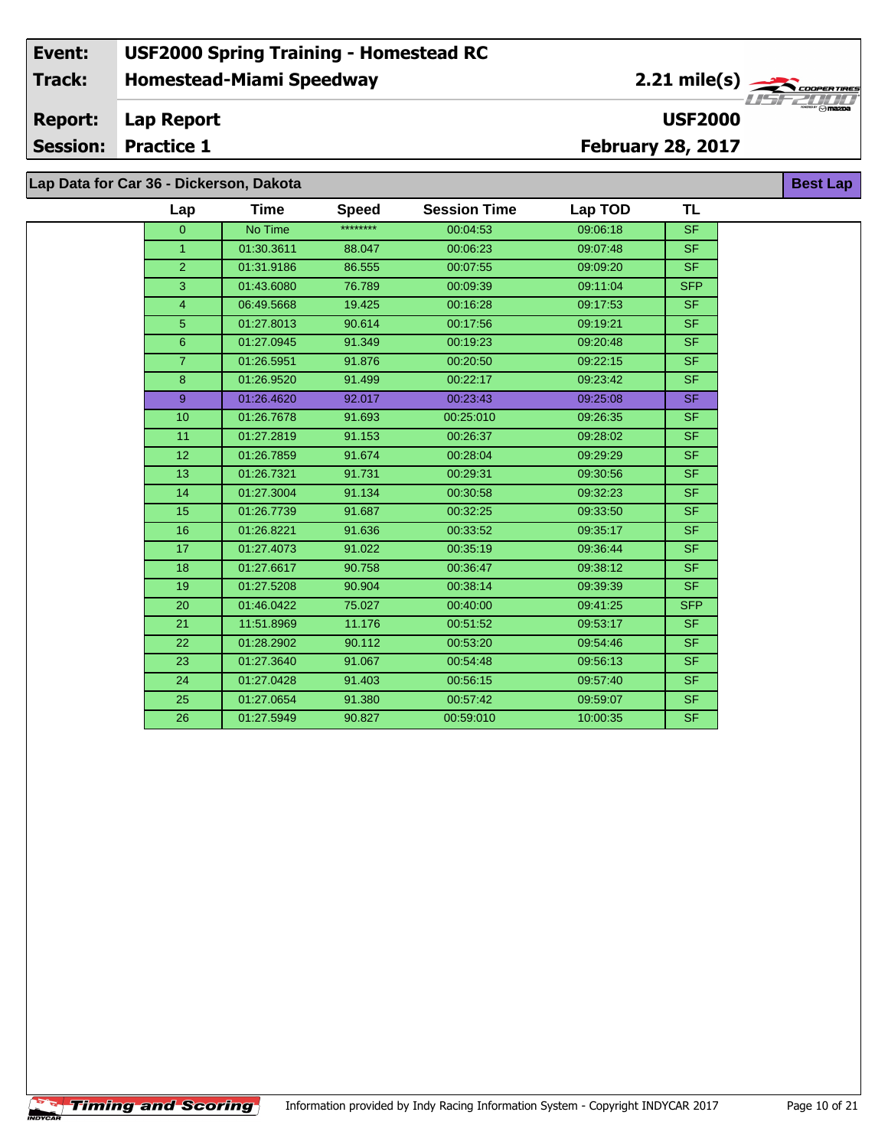**Lap Data for Car 36 - Dickerson, Dakota**

| Lap            | Time       | <b>Speed</b> | <b>Session Time</b> | Lap TOD  | TL         |
|----------------|------------|--------------|---------------------|----------|------------|
| $\overline{0}$ | No Time    | ********     | 00:04:53            | 09:06:18 | <b>SF</b>  |
| $\mathbf{1}$   | 01:30.3611 | 88.047       | 00:06:23            | 09:07:48 | <b>SF</b>  |
| $\overline{2}$ | 01:31.9186 | 86.555       | 00:07:55            | 09:09:20 | <b>SF</b>  |
| 3              | 01:43.6080 | 76.789       | 00:09:39            | 09:11:04 | <b>SFP</b> |
| 4              | 06:49.5668 | 19.425       | 00:16:28            | 09:17:53 | SF.        |
| 5              | 01:27.8013 | 90.614       | 00:17:56            | 09:19:21 | <b>SF</b>  |
| 6              | 01:27.0945 | 91.349       | 00:19:23            | 09:20:48 | <b>SF</b>  |
| $\overline{7}$ | 01:26.5951 | 91.876       | 00:20:50            | 09:22:15 | <b>SF</b>  |
| 8              | 01:26.9520 | 91.499       | 00:22:17            | 09:23:42 | <b>SF</b>  |
| 9              | 01:26.4620 | 92.017       | 00:23:43            | 09:25:08 | SF.        |
| 10             | 01:26.7678 | 91.693       | 00:25:010           | 09:26:35 | <b>SF</b>  |
| 11             | 01:27.2819 | 91.153       | 00:26:37            | 09:28:02 | <b>SF</b>  |
| 12             | 01:26.7859 | 91.674       | 00:28:04            | 09:29:29 | SF.        |
| 13             | 01:26.7321 | 91.731       | 00:29:31            | 09:30:56 | <b>SF</b>  |
| 14             | 01:27.3004 | 91.134       | 00:30:58            | 09:32:23 | SF.        |
| 15             | 01:26.7739 | 91.687       | 00:32:25            | 09:33:50 | <b>SF</b>  |
| 16             | 01:26.8221 | 91.636       | 00:33:52            | 09:35:17 | <b>SF</b>  |
| 17             | 01:27.4073 | 91.022       | 00:35:19            | 09:36:44 | <b>SF</b>  |
| 18             | 01:27.6617 | 90.758       | 00:36:47            | 09:38:12 | <b>SF</b>  |
| 19             | 01:27.5208 | 90.904       | 00:38:14            | 09:39:39 | <b>SF</b>  |
| 20             | 01:46.0422 | 75.027       | 00:40:00            | 09:41:25 | <b>SFP</b> |
| 21             | 11:51.8969 | 11.176       | 00:51:52            | 09:53:17 | <b>SF</b>  |
| 22             | 01:28.2902 | 90.112       | 00:53:20            | 09:54:46 | <b>SF</b>  |
| 23             | 01:27.3640 | 91.067       | 00:54:48            | 09:56:13 | <b>SF</b>  |
| 24             | 01:27.0428 | 91.403       | 00:56:15            | 09:57:40 | <b>SF</b>  |
| 25             | 01:27.0654 | 91.380       | 00:57:42            | 09:59:07 | <b>SF</b>  |
| 26             | 01:27.5949 | 90.827       | 00:59:010           | 10:00:35 | <b>SF</b>  |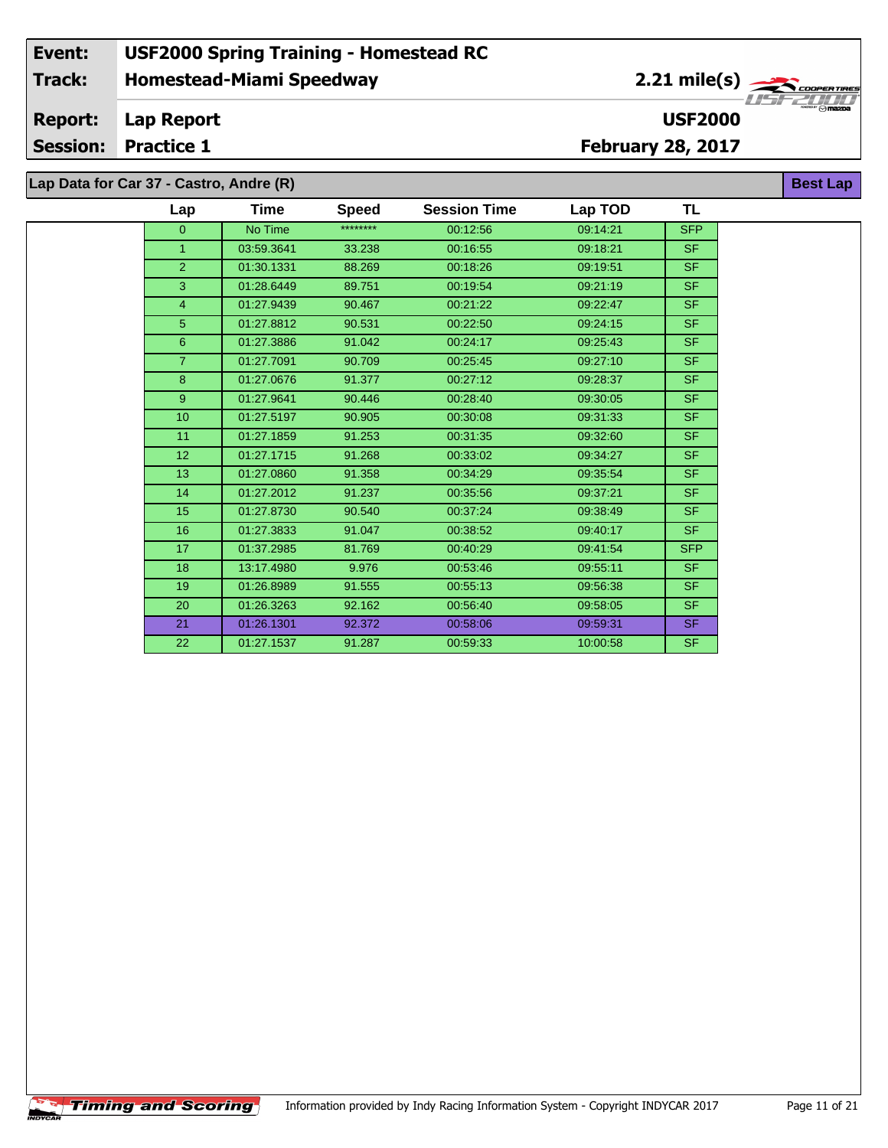# **Lap Data for Car 37 - Castro, Andre (R)**

 $\overline{\phantom{a}}$ 

| Lap              | Time       | <b>Speed</b> | <b>Session Time</b> | Lap TOD  | TL         |
|------------------|------------|--------------|---------------------|----------|------------|
| $\overline{0}$   | No Time    | ********     | 00:12:56            | 09:14:21 | <b>SFP</b> |
| $\mathbf{1}$     | 03:59.3641 | 33.238       | 00:16:55            | 09:18:21 | SF.        |
| $\overline{2}$   | 01:30.1331 | 88.269       | 00:18:26            | 09:19:51 | SF.        |
| 3                | 01:28.6449 | 89.751       | 00:19:54            | 09:21:19 | SF.        |
| $\overline{4}$   | 01:27.9439 | 90.467       | 00:21:22            | 09:22:47 | SF.        |
| 5                | 01:27.8812 | 90.531       | 00:22:50            | 09:24:15 | SF.        |
| 6                | 01:27.3886 | 91.042       | 00:24:17            | 09:25:43 | SF.        |
| $\overline{7}$   | 01:27.7091 | 90.709       | 00:25:45            | 09:27:10 | SF.        |
| 8                | 01:27.0676 | 91.377       | 00:27:12            | 09:28:37 | <b>SF</b>  |
| 9                | 01:27.9641 | 90.446       | 00:28:40            | 09:30:05 | SF.        |
| 10 <sup>10</sup> | 01:27.5197 | 90.905       | 00:30:08            | 09:31:33 | SF.        |
| 11               | 01:27.1859 | 91.253       | 00:31:35            | 09:32:60 | <b>SF</b>  |
| 12 <sup>2</sup>  | 01:27.1715 | 91.268       | 00:33:02            | 09:34:27 | <b>SF</b>  |
| 13               | 01:27.0860 | 91.358       | 00:34:29            | 09:35:54 | <b>SF</b>  |
| 14               | 01:27.2012 | 91.237       | 00:35:56            | 09:37:21 | <b>SF</b>  |
| 15               | 01:27.8730 | 90.540       | 00:37:24            | 09:38:49 | <b>SF</b>  |
| 16               | 01:27.3833 | 91.047       | 00:38:52            | 09:40:17 | SF.        |
| 17               | 01:37.2985 | 81.769       | 00:40:29            | 09:41:54 | <b>SFP</b> |
| 18               | 13:17.4980 | 9.976        | 00:53:46            | 09:55:11 | <b>SF</b>  |
| 19               | 01:26.8989 | 91.555       | 00:55:13            | 09:56:38 | <b>SF</b>  |
| 20               | 01:26.3263 | 92.162       | 00:56:40            | 09:58:05 | SF.        |
| 21               | 01:26.1301 | 92.372       | 00:58:06            | 09:59:31 | SF.        |
| 22               | 01:27.1537 | 91.287       | 00:59:33            | 10:00:58 | SF.        |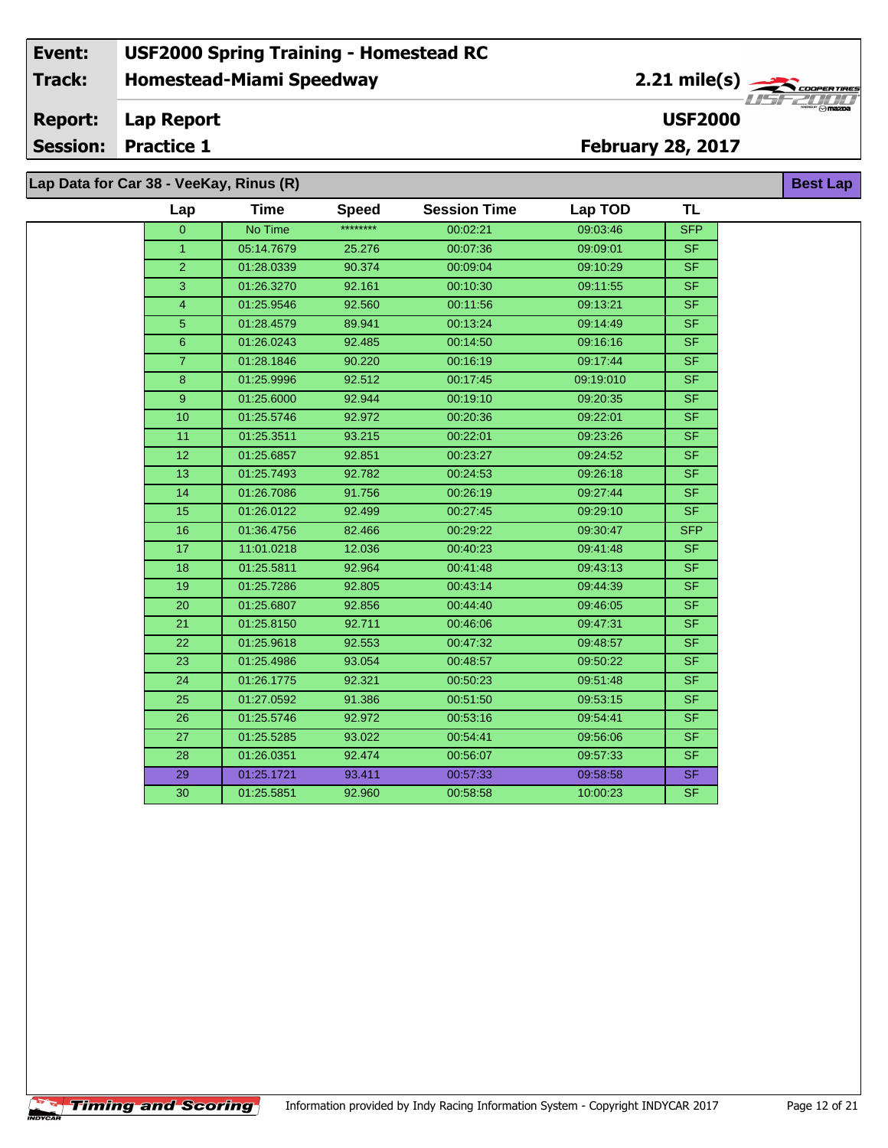**Lap Data for Car 38 - VeeKay, Rinus (R)**

**Timing and Scoring** 

÷.

| Lap                  | <b>Time</b> | <b>Speed</b> | <b>Session Time</b> | Lap TOD   | <b>TL</b>                |
|----------------------|-------------|--------------|---------------------|-----------|--------------------------|
| $\overline{0}$       | No Time     | ********     | 00:02:21            | 09:03:46  | <b>SFP</b>               |
| $\blacktriangleleft$ | 05:14.7679  | 25.276       | 00:07:36            | 09:09:01  | <b>SF</b>                |
| $\overline{2}$       | 01:28.0339  | 90.374       | 00:09:04            | 09:10:29  | <b>SF</b>                |
| 3                    | 01:26.3270  | 92.161       | 00:10:30            | 09:11:55  | <b>SF</b>                |
| $\overline{4}$       | 01:25.9546  | 92.560       | 00:11:56            | 09:13:21  | <b>SF</b>                |
| 5                    | 01:28.4579  | 89.941       | 00:13:24            | 09:14:49  | <b>SF</b>                |
| $6\phantom{1}$       | 01:26.0243  | 92.485       | 00:14:50            | 09:16:16  | <b>SF</b>                |
| $\overline{7}$       | 01:28.1846  | 90.220       | 00:16:19            | 09:17:44  | <b>SF</b>                |
| 8                    | 01:25.9996  | 92.512       | 00:17:45            | 09:19:010 | <b>SF</b>                |
| 9                    | 01:25.6000  | 92.944       | 00:19:10            | 09:20:35  | $\overline{\mathsf{SF}}$ |
| 10                   | 01:25.5746  | 92.972       | 00:20:36            | 09:22:01  | <b>SF</b>                |
| 11                   | 01:25.3511  | 93.215       | 00:22:01            | 09:23:26  | <b>SF</b>                |
| 12                   | 01:25.6857  | 92.851       | 00:23:27            | 09:24:52  | <b>SF</b>                |
| 13                   | 01:25.7493  | 92.782       | 00:24:53            | 09:26:18  | <b>SF</b>                |
| 14                   | 01:26.7086  | 91.756       | 00:26:19            | 09:27:44  | <b>SF</b>                |
| 15                   | 01:26.0122  | 92.499       | 00:27:45            | 09:29:10  | <b>SF</b>                |
| 16                   | 01:36.4756  | 82.466       | 00:29:22            | 09:30:47  | <b>SFP</b>               |
| 17                   | 11:01.0218  | 12.036       | 00:40:23            | 09:41:48  | <b>SF</b>                |
| 18                   | 01:25.5811  | 92.964       | 00:41:48            | 09:43:13  | <b>SF</b>                |
| 19                   | 01:25.7286  | 92.805       | 00:43:14            | 09:44:39  | <b>SF</b>                |
| 20                   | 01:25.6807  | 92.856       | 00:44:40            | 09:46:05  | <b>SF</b>                |
| 21                   | 01:25.8150  | 92.711       | 00:46:06            | 09:47:31  | <b>SF</b>                |
| 22                   | 01:25.9618  | 92.553       | 00:47:32            | 09:48:57  | <b>SF</b>                |
| 23                   | 01:25.4986  | 93.054       | 00:48:57            | 09:50:22  | <b>SF</b>                |
| 24                   | 01:26.1775  | 92.321       | 00:50:23            | 09:51:48  | <b>SF</b>                |
| 25                   | 01:27.0592  | 91.386       | 00:51:50            | 09:53:15  | $\overline{\mathsf{SF}}$ |
| 26                   | 01:25.5746  | 92.972       | 00:53:16            | 09:54:41  | <b>SF</b>                |
| 27                   | 01:25.5285  | 93.022       | 00:54:41            | 09:56:06  | <b>SF</b>                |
| 28                   | 01:26.0351  | 92.474       | 00:56:07            | 09:57:33  | <b>SF</b>                |
| 29                   | 01:25.1721  | 93.411       | 00:57:33            | 09:58:58  | <b>SF</b>                |
| 30                   | 01:25.5851  | 92.960       | 00:58:58            | 10:00:23  | <b>SF</b>                |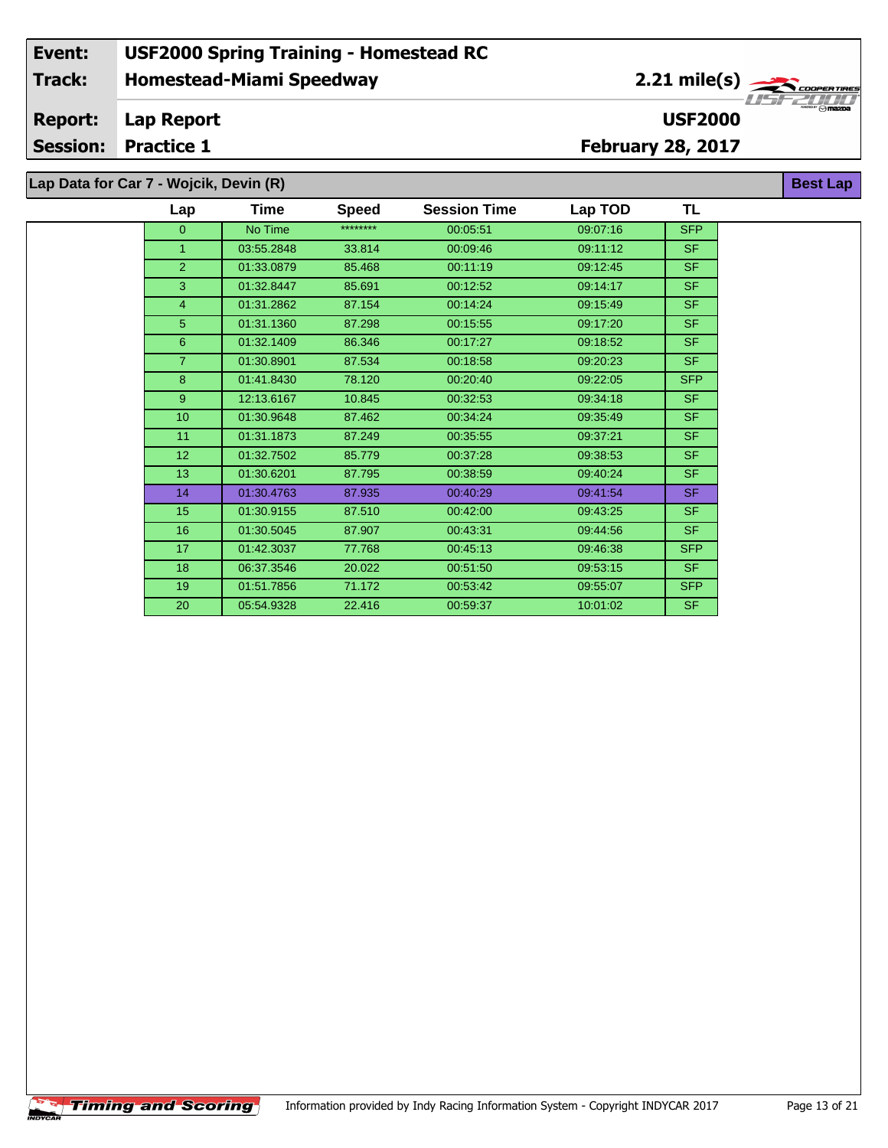**Lap Data for Car 7 - Wojcik, Devin (R)**

 $\overline{\phantom{a}}$ 

| Lap            | Time       | <b>Speed</b> | <b>Session Time</b> | Lap TOD  | TL         |
|----------------|------------|--------------|---------------------|----------|------------|
| $\overline{0}$ | No Time    | ********     | 00:05:51            | 09:07:16 | <b>SFP</b> |
| 1              | 03:55.2848 | 33.814       | 00:09:46            | 09:11:12 | <b>SF</b>  |
| $\overline{2}$ | 01:33.0879 | 85.468       | 00:11:19            | 09:12:45 | SF.        |
| 3              | 01:32.8447 | 85.691       | 00:12:52            | 09:14:17 | <b>SF</b>  |
| 4              | 01:31.2862 | 87.154       | 00:14:24            | 09:15:49 | <b>SF</b>  |
| 5              | 01:31.1360 | 87.298       | 00:15:55            | 09:17:20 | <b>SF</b>  |
| 6              | 01:32.1409 | 86.346       | 00:17:27            | 09:18:52 | <b>SF</b>  |
| $\overline{7}$ | 01:30.8901 | 87.534       | 00:18:58            | 09:20:23 | <b>SF</b>  |
| 8              | 01:41.8430 | 78.120       | 00:20:40            | 09:22:05 | <b>SFP</b> |
| 9              | 12:13.6167 | 10.845       | 00:32:53            | 09:34:18 | <b>SF</b>  |
| 10             | 01:30.9648 | 87.462       | 00:34:24            | 09:35:49 | <b>SF</b>  |
| 11             | 01:31.1873 | 87.249       | 00:35:55            | 09:37:21 | <b>SF</b>  |
| 12             | 01:32.7502 | 85.779       | 00:37:28            | 09:38:53 | <b>SF</b>  |
| 13             | 01:30.6201 | 87.795       | 00:38:59            | 09:40:24 | <b>SF</b>  |
| 14             | 01:30.4763 | 87.935       | 00:40:29            | 09:41:54 | <b>SF</b>  |
| 15             | 01:30.9155 | 87.510       | 00:42:00            | 09:43:25 | <b>SF</b>  |
| 16             | 01:30.5045 | 87.907       | 00:43:31            | 09:44:56 | <b>SF</b>  |
| 17             | 01:42.3037 | 77.768       | 00:45:13            | 09:46:38 | <b>SFP</b> |
| 18             | 06:37.3546 | 20.022       | 00:51:50            | 09:53:15 | SF.        |
| 19             | 01:51.7856 | 71.172       | 00:53:42            | 09:55:07 | <b>SFP</b> |
| 20             | 05:54.9328 | 22.416       | 00:59:37            | 10:01:02 | <b>SF</b>  |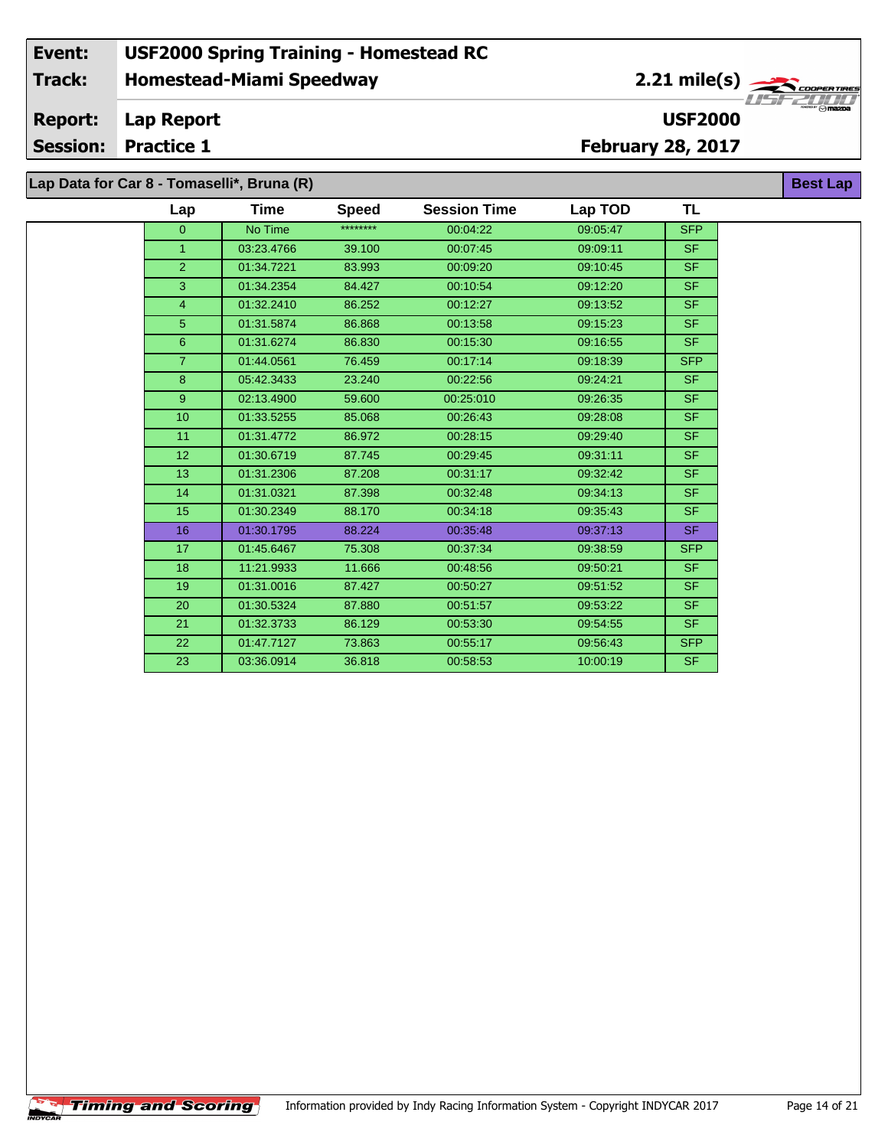# **Lap Data for Car 8 - Tomaselli\*, Bruna (R)**

÷.

| Lap            | Time       | <b>Speed</b> | <b>Session Time</b> | Lap TOD  | <b>TL</b>      |
|----------------|------------|--------------|---------------------|----------|----------------|
| $\Omega$       | No Time    | ********     | 00:04:22            | 09:05:47 | <b>SFP</b>     |
| $\mathbf{1}$   | 03:23.4766 | 39.100       | 00:07:45            | 09:09:11 | SF.            |
| $\overline{2}$ | 01:34.7221 | 83.993       | 00:09:20            | 09:10:45 | <b>SF</b>      |
| 3              | 01:34.2354 | 84.427       | 00:10:54            | 09:12:20 | SF.            |
| $\overline{4}$ | 01:32.2410 | 86.252       | 00:12:27            | 09:13:52 | SF             |
| 5              | 01:31.5874 | 86.868       | 00:13:58            | 09:15:23 | <b>SF</b>      |
| 6              | 01:31.6274 | 86.830       | 00:15:30            | 09:16:55 | <b>SF</b>      |
| $\overline{7}$ | 01:44.0561 | 76.459       | 00:17:14            | 09:18:39 | <b>SFP</b>     |
| 8              | 05:42.3433 | 23.240       | 00:22:56            | 09:24:21 | SF.            |
| 9 <sup>°</sup> | 02:13.4900 | 59.600       | 00:25:010           | 09:26:35 | SF.            |
| 10             | 01:33.5255 | 85.068       | 00:26:43            | 09:28:08 | SF.            |
| 11             | 01:31.4772 | 86.972       | 00:28:15            | 09:29:40 | SF.            |
| 12             | 01:30.6719 | 87.745       | 00:29:45            | 09:31:11 | SF.            |
| 13             | 01:31.2306 | 87.208       | 00:31:17            | 09:32:42 | <b>SF</b>      |
| 14             | 01:31.0321 | 87.398       | 00:32:48            | 09:34:13 | SF.            |
| 15             | 01:30.2349 | 88.170       | 00:34:18            | 09:35:43 | S <sub>F</sub> |
| 16             | 01:30.1795 | 88.224       | 00:35:48            | 09:37:13 | SF.            |
| 17             | 01:45.6467 | 75.308       | 00:37:34            | 09:38:59 | <b>SFP</b>     |
| 18             | 11:21.9933 | 11.666       | 00:48:56            | 09:50:21 | SF.            |
| 19             | 01:31.0016 | 87.427       | 00:50:27            | 09:51:52 | SF.            |
| 20             | 01:30.5324 | 87.880       | 00:51:57            | 09:53:22 | SF.            |
| 21             | 01:32.3733 | 86.129       | 00:53:30            | 09:54:55 | SF.            |
| 22             | 01:47.7127 | 73.863       | 00:55:17            | 09:56:43 | <b>SFP</b>     |
| 23             | 03:36.0914 | 36.818       | 00:58:53            | 10:00:19 | SF.            |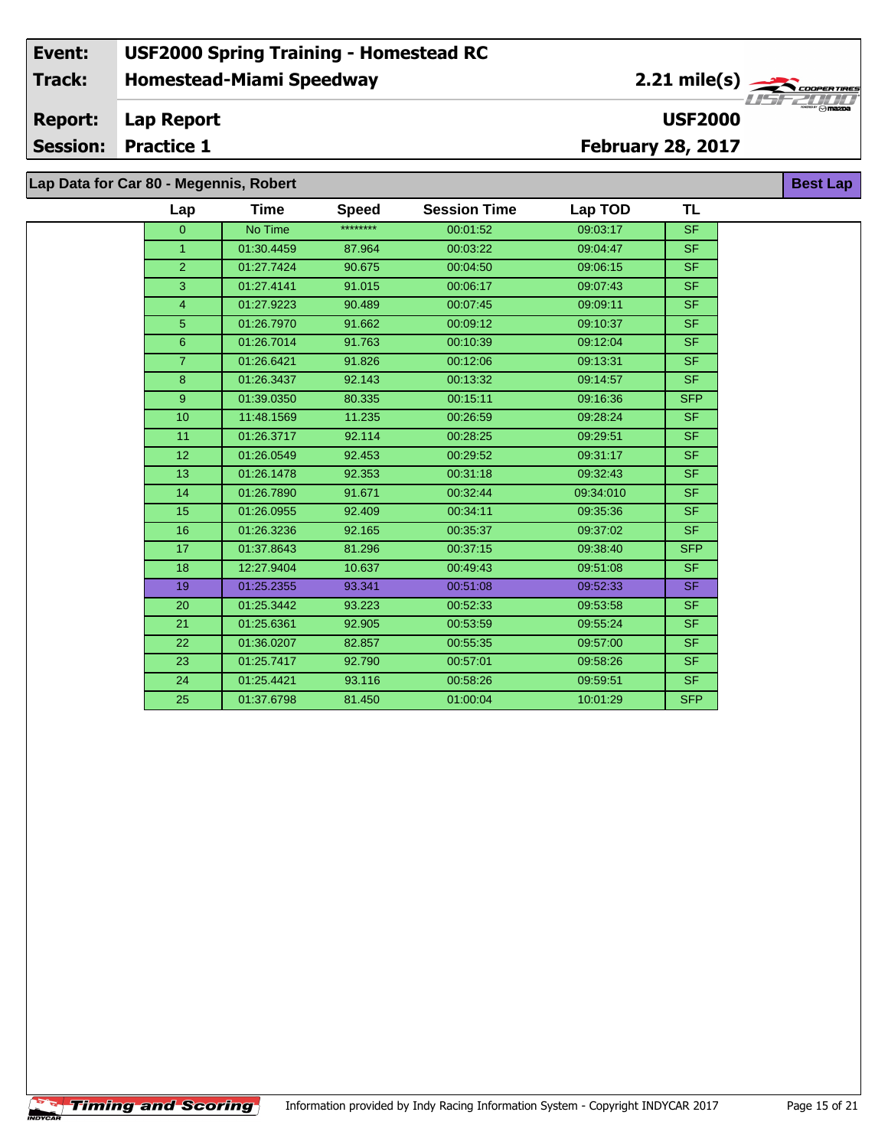# **Lap Data for Car 80 - Megennis, Robert**

**Timing and Scoring** 

÷.

| Lap            | Time       | <b>Speed</b> | <b>Session Time</b> | Lap TOD   | TL                       |
|----------------|------------|--------------|---------------------|-----------|--------------------------|
| $\overline{0}$ | No Time    | ********     | 00:01:52            | 09:03:17  | <b>SF</b>                |
| $\mathbf{1}$   | 01:30.4459 | 87.964       | 00:03:22            | 09:04:47  | SF                       |
| $\overline{2}$ | 01:27.7424 | 90.675       | 00:04:50            | 09:06:15  | SF.                      |
| 3              | 01:27.4141 | 91.015       | 00:06:17            | 09:07:43  | <b>SF</b>                |
| $\overline{4}$ | 01:27.9223 | 90.489       | 00:07:45            | 09:09:11  | $\overline{\mathsf{SF}}$ |
| 5              | 01:26.7970 | 91.662       | 00:09:12            | 09:10:37  | SF.                      |
| 6              | 01:26.7014 | 91.763       | 00:10:39            | 09:12:04  | SF.                      |
| $\mathbf{7}$   | 01:26.6421 | 91.826       | 00:12:06            | 09:13:31  | SF.                      |
| 8              | 01:26.3437 | 92.143       | 00:13:32            | 09:14:57  | SF.                      |
| 9 <sup>°</sup> | 01:39.0350 | 80.335       | 00:15:11            | 09:16:36  | <b>SFP</b>               |
| 10             | 11:48.1569 | 11.235       | 00:26:59            | 09:28:24  | SF.                      |
| 11             | 01:26.3717 | 92.114       | 00:28:25            | 09:29:51  | $\overline{\mathsf{SF}}$ |
| 12             | 01:26.0549 | 92.453       | 00:29:52            | 09:31:17  | <b>SF</b>                |
| 13             | 01:26.1478 | 92.353       | 00:31:18            | 09:32:43  | SF.                      |
| 14             | 01:26.7890 | 91.671       | 00:32:44            | 09:34:010 | SF                       |
| 15             | 01:26.0955 | 92.409       | 00:34:11            | 09:35:36  | SF.                      |
| 16             | 01:26.3236 | 92.165       | 00:35:37            | 09:37:02  | SF.                      |
| 17             | 01:37.8643 | 81.296       | 00:37:15            | 09:38:40  | <b>SFP</b>               |
| 18             | 12:27.9404 | 10.637       | 00:49:43            | 09:51:08  | SF.                      |
| 19             | 01:25.2355 | 93.341       | 00:51:08            | 09:52:33  | SF.                      |
| 20             | 01:25.3442 | 93.223       | 00:52:33            | 09:53:58  | $\overline{\mathsf{SF}}$ |
| 21             | 01:25.6361 | 92.905       | 00:53:59            | 09:55:24  | <b>SF</b>                |
| 22             | 01:36.0207 | 82.857       | 00:55:35            | 09:57:00  | SF.                      |
| 23             | 01:25.7417 | 92.790       | 00:57:01            | 09:58:26  | SF.                      |
| 24             | 01:25.4421 | 93.116       | 00:58:26            | 09:59:51  | SF.                      |
| 25             | 01:37.6798 | 81.450       | 01:00:04            | 10:01:29  | <b>SFP</b>               |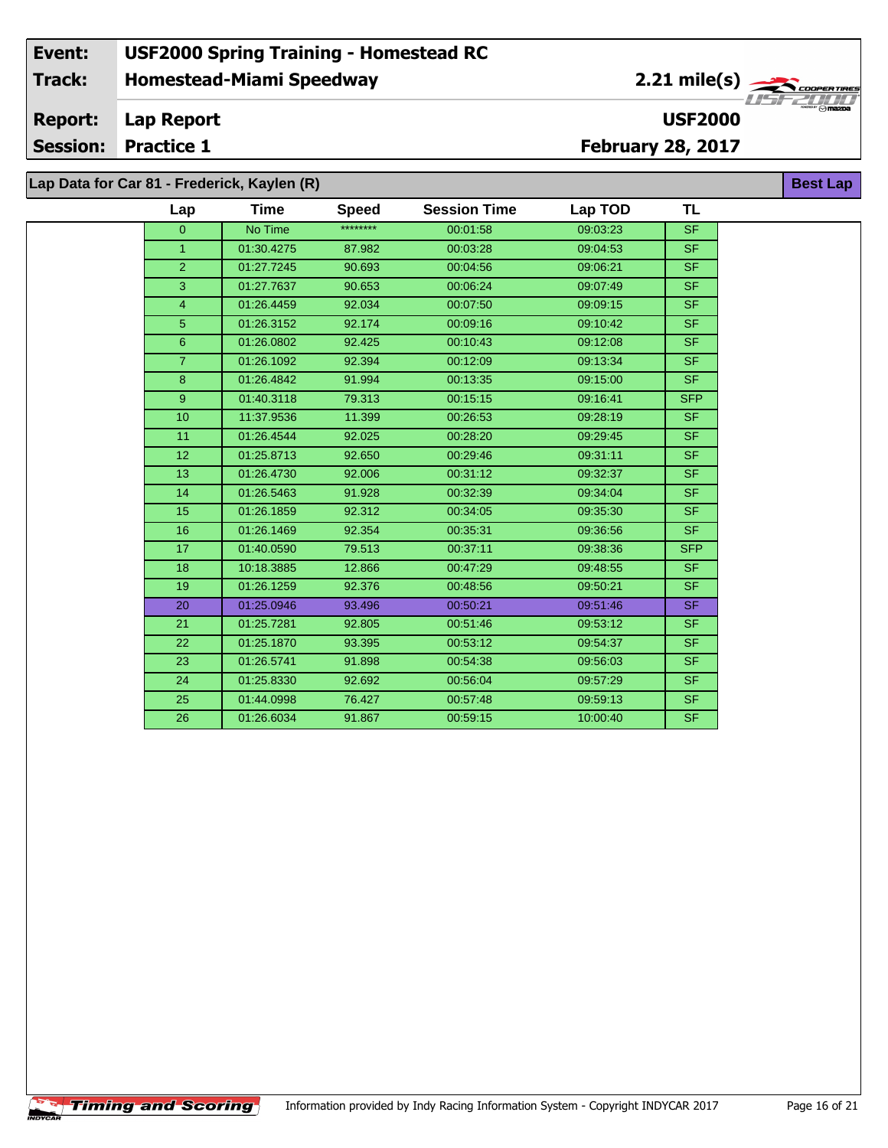**Lap Data for Car 81 - Frederick, Kaylen (R)**

| Lap            | <b>Time</b> | <b>Speed</b> | <b>Session Time</b> | Lap TOD  | TL                       |
|----------------|-------------|--------------|---------------------|----------|--------------------------|
| $\overline{0}$ | No Time     | ********     | 00:01:58            | 09:03:23 | <b>SF</b>                |
| $\mathbf{1}$   | 01:30.4275  | 87.982       | 00:03:28            | 09:04:53 | <b>SF</b>                |
| $\overline{2}$ | 01:27.7245  | 90.693       | 00:04:56            | 09:06:21 | SF.                      |
| 3              | 01:27.7637  | 90.653       | 00:06:24            | 09:07:49 | SF.                      |
| 4              | 01:26.4459  | 92.034       | 00:07:50            | 09:09:15 | SF.                      |
| 5              | 01:26.3152  | 92.174       | 00:09:16            | 09:10:42 | SF.                      |
| 6              | 01:26.0802  | 92.425       | 00:10:43            | 09:12:08 | SF.                      |
| $\overline{7}$ | 01:26.1092  | 92.394       | 00:12:09            | 09:13:34 | SF.                      |
| 8              | 01:26.4842  | 91.994       | 00:13:35            | 09:15:00 | SF.                      |
| 9 <sup>°</sup> | 01:40.3118  | 79.313       | 00:15:15            | 09:16:41 | <b>SFP</b>               |
| 10             | 11:37.9536  | 11.399       | 00:26:53            | 09:28:19 | SF.                      |
| 11             | 01:26.4544  | 92.025       | 00:28:20            | 09:29:45 | <b>SF</b>                |
| 12             | 01:25.8713  | 92.650       | 00:29:46            | 09:31:11 | <b>SF</b>                |
| 13             | 01:26.4730  | 92.006       | 00:31:12            | 09:32:37 | $\overline{\mathsf{SF}}$ |
| 14             | 01:26.5463  | 91.928       | 00:32:39            | 09:34:04 | SF.                      |
| 15             | 01:26.1859  | 92.312       | 00:34:05            | 09:35:30 | SF.                      |
| 16             | 01:26.1469  | 92.354       | 00:35:31            | 09:36:56 | <b>SF</b>                |
| 17             | 01:40.0590  | 79.513       | 00:37:11            | 09:38:36 | <b>SFP</b>               |
| 18             | 10:18.3885  | 12.866       | 00:47:29            | 09:48:55 | SF.                      |
| 19             | 01:26.1259  | 92.376       | 00:48:56            | 09:50:21 | SF.                      |
| 20             | 01:25.0946  | 93.496       | 00:50:21            | 09:51:46 | SF.                      |
| 21             | 01:25.7281  | 92.805       | 00:51:46            | 09:53:12 | SF.                      |
| 22             | 01:25.1870  | 93.395       | 00:53:12            | 09:54:37 | SF.                      |
| 23             | 01:26.5741  | 91.898       | 00:54:38            | 09:56:03 | SF.                      |
| 24             | 01:25.8330  | 92.692       | 00:56:04            | 09:57:29 | SF.                      |
| 25             | 01:44.0998  | 76.427       | 00:57:48            | 09:59:13 | SF.                      |
| 26             | 01:26.6034  | 91.867       | 00:59:15            | 10:00:40 | SF.                      |
|                |             |              |                     |          |                          |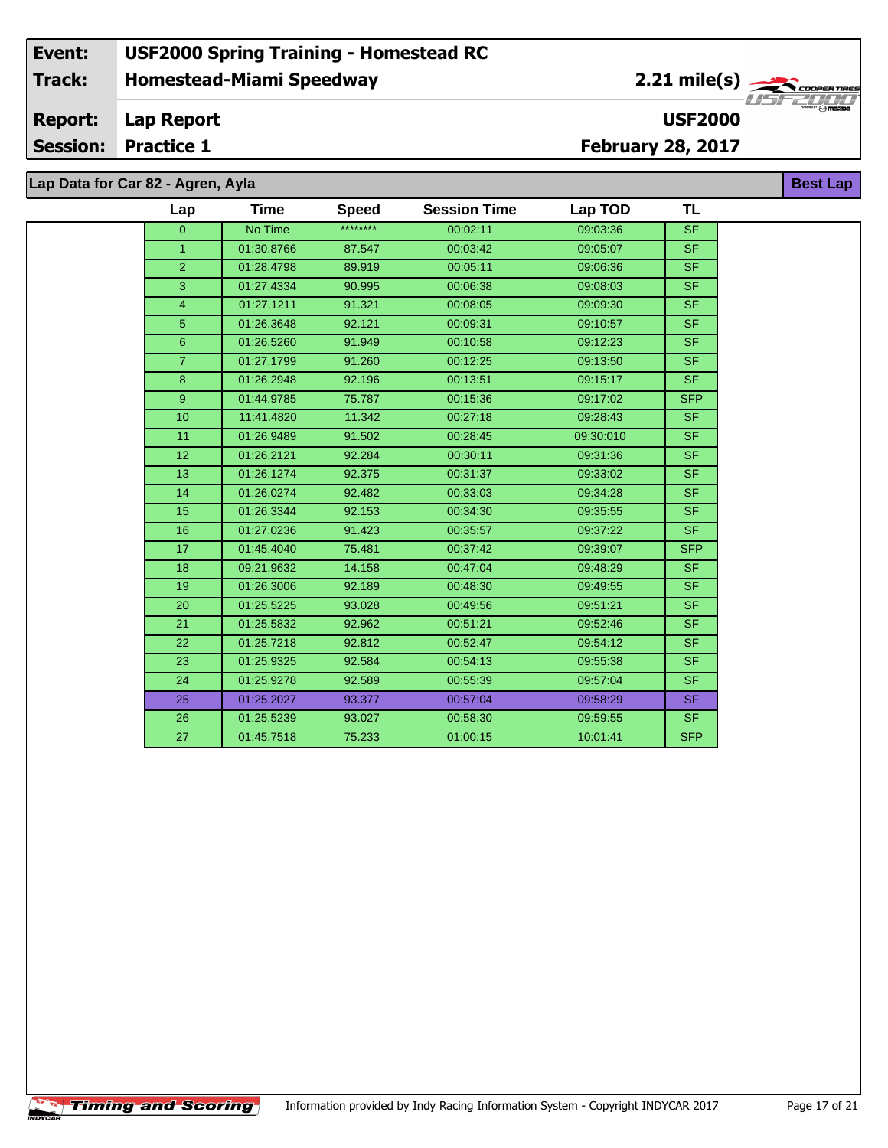# **Lap Data for Car 82 - Agren, Ayla**

**Timing and Scoring** 

÷.

| Lap             | <b>Time</b> | <b>Speed</b> | <b>Session Time</b> | Lap TOD   | <b>TL</b>      |
|-----------------|-------------|--------------|---------------------|-----------|----------------|
| $\overline{0}$  | No Time     | ********     | 00:02:11            | 09:03:36  | <b>SF</b>      |
| $\mathbf{1}$    | 01:30.8766  | 87.547       | 00:03:42            | 09:05:07  | <b>SF</b>      |
| $\overline{2}$  | 01:28.4798  | 89.919       | 00:05:11            | 09:06:36  | <b>SF</b>      |
| 3               | 01:27.4334  | 90.995       | 00:06:38            | 09:08:03  | SF.            |
| $\overline{4}$  | 01:27.1211  | 91.321       | 00:08:05            | 09:09:30  | S <sub>F</sub> |
| 5               | 01:26.3648  | 92.121       | 00:09:31            | 09:10:57  | <b>SF</b>      |
| $6\overline{6}$ | 01:26.5260  | 91.949       | 00:10:58            | 09:12:23  | S <sub>F</sub> |
| $\overline{7}$  | 01:27.1799  | 91.260       | 00:12:25            | 09:13:50  | SF.            |
| 8               | 01:26.2948  | 92.196       | 00:13:51            | 09:15:17  | <b>SF</b>      |
| 9               | 01:44.9785  | 75.787       | 00:15:36            | 09:17:02  | <b>SFP</b>     |
| 10              | 11:41.4820  | 11.342       | 00:27:18            | 09:28:43  | <b>SF</b>      |
| 11              | 01:26.9489  | 91.502       | 00:28:45            | 09:30:010 | SF.            |
| 12 <sup>2</sup> | 01:26.2121  | 92.284       | 00:30:11            | 09:31:36  | <b>SF</b>      |
| 13              | 01:26.1274  | 92.375       | 00:31:37            | 09:33:02  | SF.            |
| 14              | 01:26.0274  | 92.482       | 00:33:03            | 09:34:28  | <b>SF</b>      |
| 15              | 01:26.3344  | 92.153       | 00:34:30            | 09:35:55  | <b>SF</b>      |
| 16              | 01:27.0236  | 91.423       | 00:35:57            | 09:37:22  | <b>SF</b>      |
| 17 <sub>2</sub> | 01:45.4040  | 75.481       | 00:37:42            | 09:39:07  | <b>SFP</b>     |
| 18              | 09:21.9632  | 14.158       | 00:47:04            | 09:48:29  | <b>SF</b>      |
| 19              | 01:26.3006  | 92.189       | 00:48:30            | 09:49:55  | <b>SF</b>      |
| 20              | 01:25.5225  | 93.028       | 00:49:56            | 09:51:21  | <b>SF</b>      |
| 21              | 01:25.5832  | 92.962       | 00:51:21            | 09:52:46  | <b>SF</b>      |
| 22              | 01:25.7218  | 92.812       | 00:52:47            | 09:54:12  | SF.            |
| 23              | 01:25.9325  | 92.584       | 00:54:13            | 09:55:38  | SF             |
| 24              | 01:25.9278  | 92.589       | 00:55:39            | 09:57:04  | SF.            |
| 25              | 01:25.2027  | 93.377       | 00:57:04            | 09:58:29  | SF.            |
| 26              | 01:25.5239  | 93.027       | 00:58:30            | 09:59:55  | SF.            |
| 27              | 01:45.7518  | 75.233       | 01:00:15            | 10:01:41  | <b>SFP</b>     |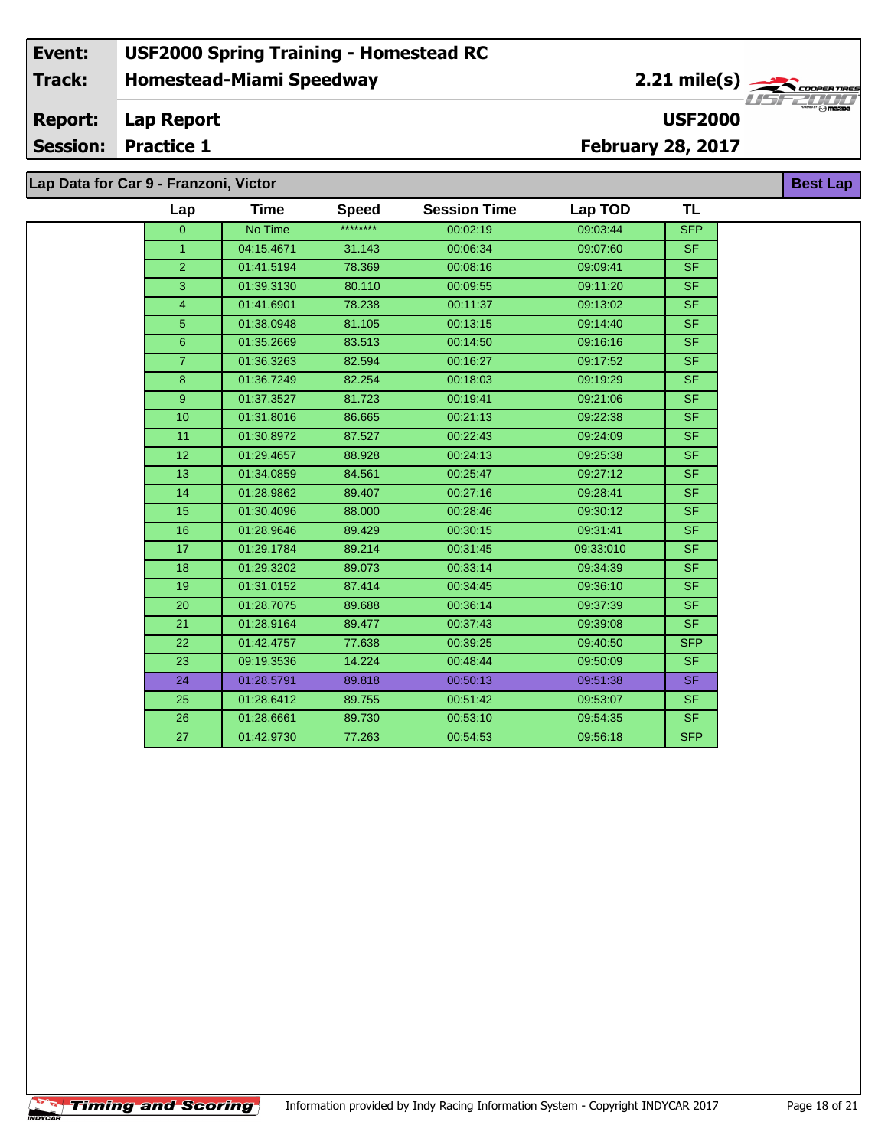**Lap Data for Car 9 - Franzoni, Victor**

 $\sqrt{\textbf{T}}$ iming and Scoring $\sqrt{\textbf{S}}$ 

÷.

| Lap                  | <b>Time</b> | <b>Speed</b> | <b>Session Time</b> | Lap TOD   | <b>TL</b>      |
|----------------------|-------------|--------------|---------------------|-----------|----------------|
| $\Omega$             | No Time     | ********     | 00:02:19            | 09:03:44  | <b>SFP</b>     |
| $\blacktriangleleft$ | 04:15.4671  | 31.143       | 00:06:34            | 09:07:60  | SF.            |
| 2                    | 01:41.5194  | 78.369       | 00:08:16            | 09:09:41  | <b>SF</b>      |
| 3                    | 01:39.3130  | 80.110       | 00:09:55            | 09:11:20  | SF.            |
| $\overline{4}$       | 01:41.6901  | 78.238       | 00:11:37            | 09:13:02  | S <sub>F</sub> |
| $\overline{5}$       | 01:38.0948  | 81.105       | 00:13:15            | 09:14:40  | SF.            |
| 6                    | 01:35.2669  | 83.513       | 00:14:50            | 09:16:16  | <b>SF</b>      |
| $\overline{7}$       | 01:36.3263  | 82.594       | 00:16:27            | 09:17:52  | SF.            |
| 8                    | 01:36.7249  | 82.254       | 00:18:03            | 09:19:29  | <b>SF</b>      |
| 9                    | 01:37.3527  | 81.723       | 00:19:41            | 09:21:06  | <b>SF</b>      |
| 10                   | 01:31.8016  | 86.665       | 00:21:13            | 09:22:38  | <b>SF</b>      |
| 11                   | 01:30.8972  | 87.527       | 00:22:43            | 09:24:09  | SF.            |
| 12                   | 01:29.4657  | 88.928       | 00:24:13            | 09:25:38  | <b>SF</b>      |
| 13                   | 01:34.0859  | 84.561       | 00:25:47            | 09:27:12  | <b>SF</b>      |
| 14                   | 01:28.9862  | 89.407       | 00:27:16            | 09:28:41  | SF             |
| 15                   | 01:30.4096  | 88.000       | 00:28:46            | 09:30:12  | <b>SF</b>      |
| 16                   | 01:28.9646  | 89.429       | 00:30:15            | 09:31:41  | <b>SF</b>      |
| 17                   | 01:29.1784  | 89.214       | 00:31:45            | 09:33:010 | <b>SF</b>      |
| 18                   | 01:29.3202  | 89.073       | 00:33:14            | 09:34:39  | <b>SF</b>      |
| 19                   | 01:31.0152  | 87.414       | 00:34:45            | 09:36:10  | <b>SF</b>      |
| 20                   | 01:28.7075  | 89.688       | 00:36:14            | 09:37:39  | <b>SF</b>      |
| 21                   | 01:28.9164  | 89.477       | 00:37:43            | 09:39:08  | <b>SF</b>      |
| 22                   | 01:42.4757  | 77.638       | 00:39:25            | 09:40:50  | <b>SFP</b>     |
| 23                   | 09:19.3536  | 14.224       | 00:48:44            | 09:50:09  | <b>SF</b>      |
| 24                   | 01:28.5791  | 89.818       | 00:50:13            | 09:51:38  | SF.            |
| 25                   | 01:28.6412  | 89.755       | 00:51:42            | 09:53:07  | <b>SF</b>      |
| 26                   | 01:28.6661  | 89.730       | 00:53:10            | 09:54:35  | SF.            |
| 27                   | 01:42.9730  | 77.263       | 00:54:53            | 09:56:18  | <b>SFP</b>     |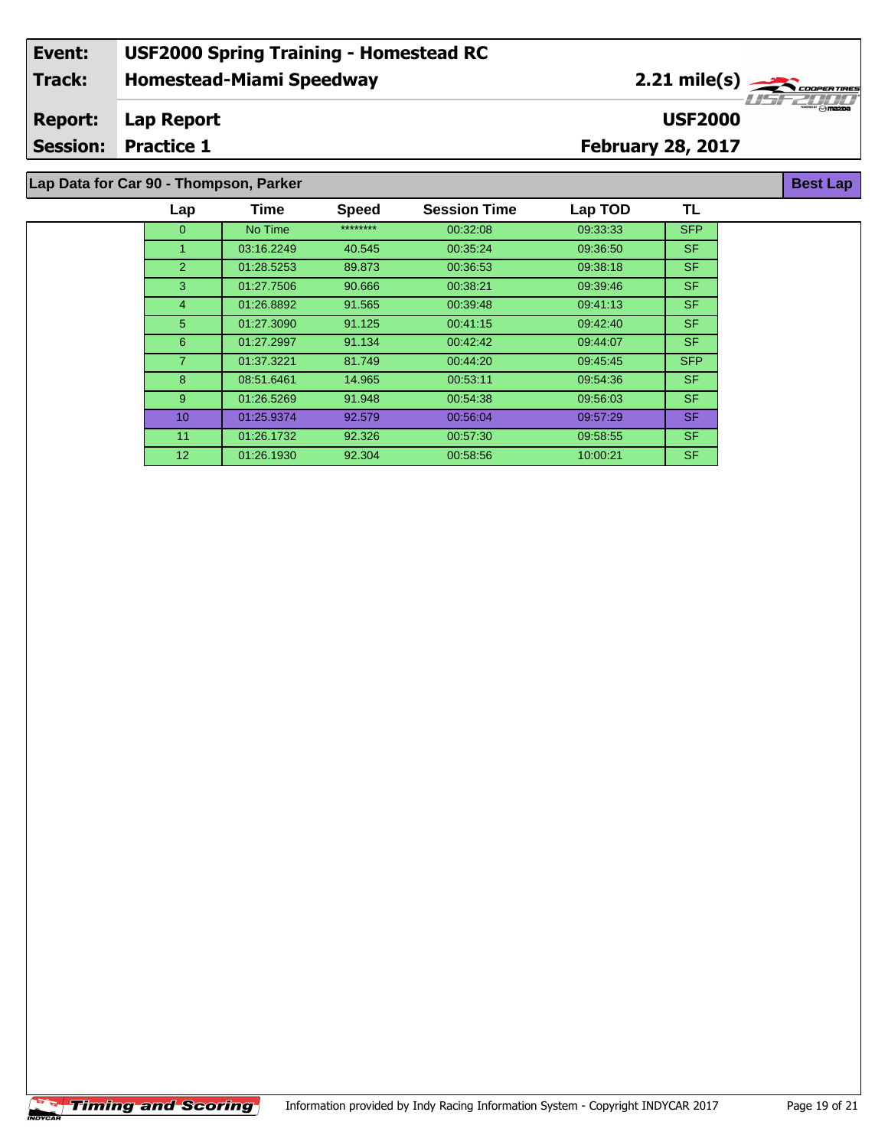# **Lap Data for Car 90 - Thompson, Parker**

| Lap             | Time       | <b>Speed</b> | <b>Session Time</b> | Lap TOD  | TL         |  |
|-----------------|------------|--------------|---------------------|----------|------------|--|
| $\mathbf{0}$    | No Time    | ********     | 00:32:08            | 09:33:33 | <b>SFP</b> |  |
| 1               | 03:16.2249 | 40.545       | 00:35:24            | 09:36:50 | SF.        |  |
| 2               | 01:28.5253 | 89.873       | 00:36:53            | 09:38:18 | SF.        |  |
| 3               | 01:27.7506 | 90.666       | 00:38:21            | 09:39:46 | SF.        |  |
| 4               | 01:26.8892 | 91.565       | 00:39:48            | 09:41:13 | SF.        |  |
| 5               | 01:27.3090 | 91.125       | 00:41:15            | 09:42:40 | SF.        |  |
| 6               | 01:27.2997 | 91.134       | 00:42:42            | 09:44:07 | SF.        |  |
| $\overline{7}$  | 01:37.3221 | 81.749       | 00:44:20            | 09:45:45 | <b>SFP</b> |  |
| 8               | 08:51.6461 | 14.965       | 00:53:11            | 09:54:36 | SF.        |  |
| 9               | 01:26.5269 | 91.948       | 00:54:38            | 09:56:03 | SF.        |  |
| 10 <sup>°</sup> | 01:25.9374 | 92.579       | 00:56:04            | 09:57:29 | <b>SF</b>  |  |
| 11              | 01:26.1732 | 92.326       | 00:57:30            | 09:58:55 | SF.        |  |
| 12 <sup>2</sup> | 01:26.1930 | 92.304       | 00:58:56            | 10:00:21 | SF.        |  |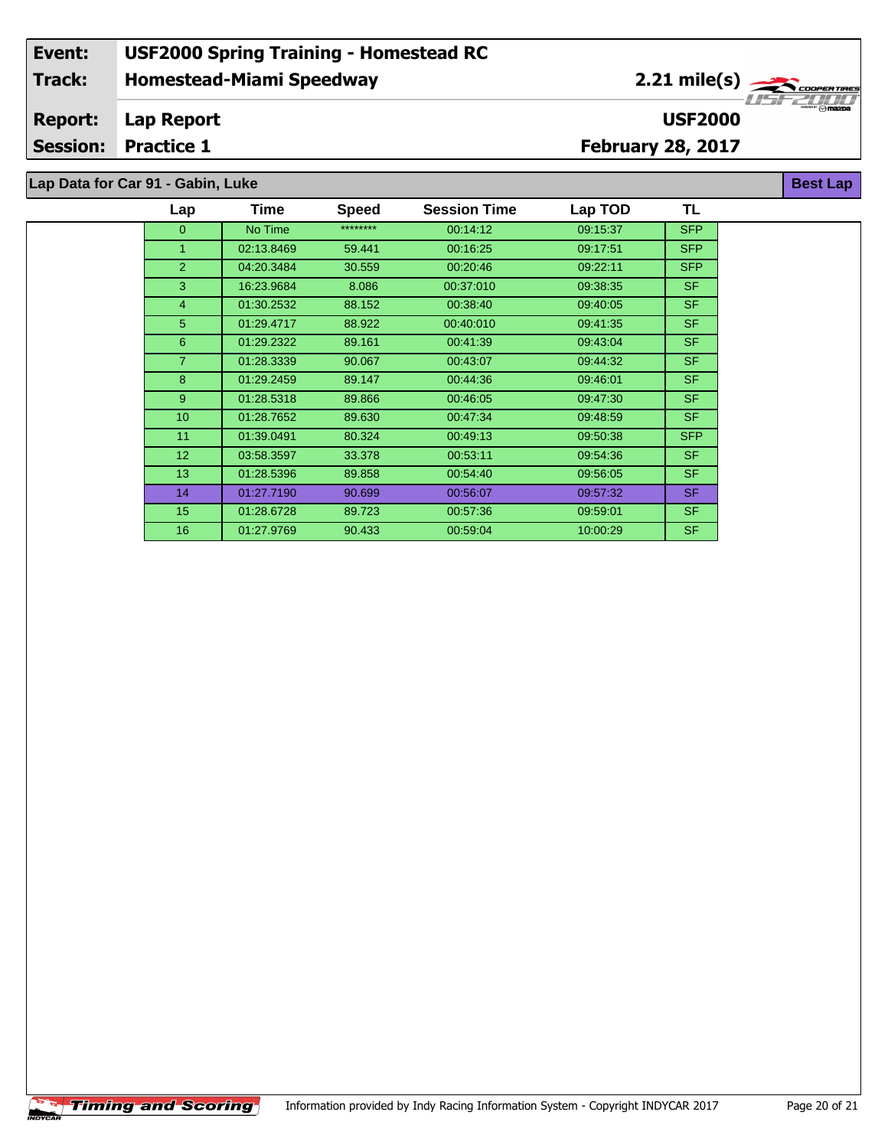# **Lap Data for Car 91 - Gabin, Luke**

| Lap             | <b>Time</b> | <b>Speed</b> | <b>Session Time</b> | Lap TOD  | TL         |
|-----------------|-------------|--------------|---------------------|----------|------------|
| $\overline{0}$  | No Time     | ********     | 00:14:12            | 09:15:37 | <b>SFP</b> |
| 1               | 02:13.8469  | 59.441       | 00:16:25            | 09:17:51 | <b>SFP</b> |
| $\overline{2}$  | 04:20.3484  | 30.559       | 00:20:46            | 09:22:11 | <b>SFP</b> |
| 3               | 16:23.9684  | 8.086        | 00:37:010           | 09:38:35 | <b>SF</b>  |
| 4               | 01:30.2532  | 88.152       | 00:38:40            | 09:40:05 | <b>SF</b>  |
| 5               | 01:29.4717  | 88.922       | 00:40:010           | 09:41:35 | SF.        |
| 6               | 01:29.2322  | 89.161       | 00:41:39            | 09:43:04 | <b>SF</b>  |
| $\overline{7}$  | 01:28.3339  | 90.067       | 00:43:07            | 09:44:32 | SF.        |
| 8               | 01:29.2459  | 89.147       | 00:44:36            | 09:46:01 | <b>SF</b>  |
| 9               | 01:28.5318  | 89.866       | 00:46:05            | 09:47:30 | <b>SF</b>  |
| 10 <sup>1</sup> | 01:28.7652  | 89.630       | 00:47:34            | 09:48:59 | <b>SF</b>  |
| 11              | 01:39.0491  | 80.324       | 00:49:13            | 09:50:38 | <b>SFP</b> |
| 12              | 03:58.3597  | 33.378       | 00:53:11            | 09:54:36 | SF.        |
| 13 <sup>°</sup> | 01:28.5396  | 89.858       | 00:54:40            | 09:56:05 | SF.        |
| 14              | 01:27.7190  | 90.699       | 00:56:07            | 09:57:32 | SF.        |
| 15              | 01:28.6728  | 89.723       | 00:57:36            | 09:59:01 | <b>SF</b>  |
| 16              | 01:27.9769  | 90.433       | 00:59:04            | 10:00:29 | <b>SF</b>  |